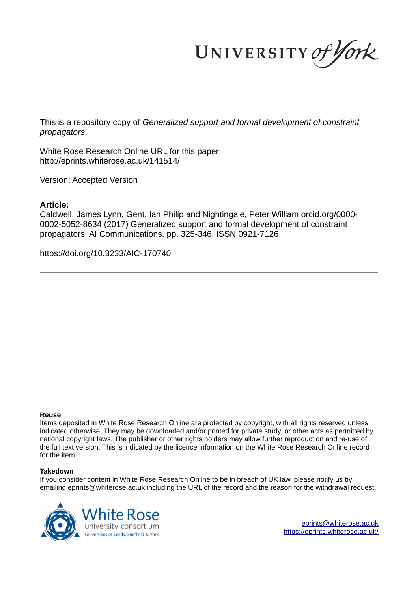UNIVERSITY of York

This is a repository copy of *Generalized support and formal development of constraint propagators*.

White Rose Research Online URL for this paper: http://eprints.whiterose.ac.uk/141514/

Version: Accepted Version

# **Article:**

Caldwell, James Lynn, Gent, Ian Philip and Nightingale, Peter William orcid.org/0000- 0002-5052-8634 (2017) Generalized support and formal development of constraint propagators. AI Communications. pp. 325-346. ISSN 0921-7126

https://doi.org/10.3233/AIC-170740

# **Reuse**

Items deposited in White Rose Research Online are protected by copyright, with all rights reserved unless indicated otherwise. They may be downloaded and/or printed for private study, or other acts as permitted by national copyright laws. The publisher or other rights holders may allow further reproduction and re-use of the full text version. This is indicated by the licence information on the White Rose Research Online record for the item.

# **Takedown**

If you consider content in White Rose Research Online to be in breach of UK law, please notify us by emailing eprints@whiterose.ac.uk including the URL of the record and the reason for the withdrawal request.



eprints@whiterose.ac.uk https://eprints.whiterose.ac.uk/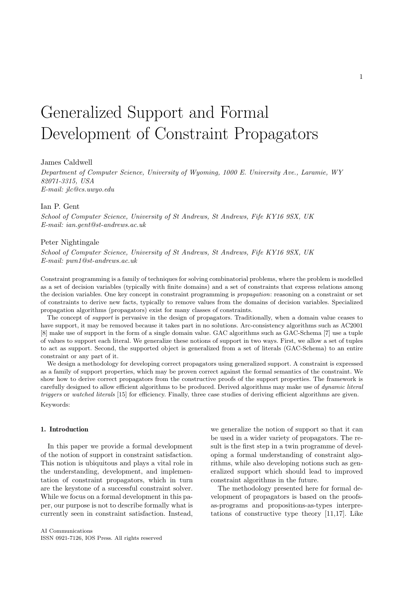# Generalized Support and Formal Development of Constraint Propagators

## James Caldwell

Department of Computer Science, University of Wyoming, 1000 E. University Ave., Laramie, WY 82071-3315, USA E-mail: jlc@cs.uwyo.edu

## Ian P. Gent

School of Computer Science, University of St Andrews, St Andrews, Fife KY16 9SX, UK E-mail: ian.gent@st-andrews.ac.uk

## Peter Nightingale

School of Computer Science, University of St Andrews, St Andrews, Fife KY16 9SX, UK E-mail: pwn1@st-andrews.ac.uk

Constraint programming is a family of techniques for solving combinatorial problems, where the problem is modelled as a set of decision variables (typically with finite domains) and a set of constraints that express relations among the decision variables. One key concept in constraint programming is *propagation*: reasoning on a constraint or set of constraints to derive new facts, typically to remove values from the domains of decision variables. Specialized propagation algorithms (propagators) exist for many classes of constraints.

The concept of support is pervasive in the design of propagators. Traditionally, when a domain value ceases to have support, it may be removed because it takes part in no solutions. Arc-consistency algorithms such as AC2001 [8] make use of support in the form of a single domain value. GAC algorithms such as GAC-Schema [7] use a tuple of values to support each literal. We generalize these notions of support in two ways. First, we allow a set of tuples to act as support. Second, the supported object is generalized from a set of literals (GAC-Schema) to an entire constraint or any part of it.

We design a methodology for developing correct propagators using generalized support. A constraint is expressed as a family of support properties, which may be proven correct against the formal semantics of the constraint. We show how to derive correct propagators from the constructive proofs of the support properties. The framework is carefully designed to allow efficient algorithms to be produced. Derived algorithms may make use of dynamic literal triggers or watched literals [15] for efficiency. Finally, three case studies of deriving efficient algorithms are given. Keywords:

## 1. Introduction

In this paper we provide a formal development of the notion of support in constraint satisfaction. This notion is ubiquitous and plays a vital role in the understanding, development, and implementation of constraint propagators, which in turn are the keystone of a successful constraint solver. While we focus on a formal development in this paper, our purpose is not to describe formally what is currently seen in constraint satisfaction. Instead,

we generalize the notion of support so that it can be used in a wider variety of propagators. The result is the first step in a twin programme of developing a formal understanding of constraint algorithms, while also developing notions such as generalized support which should lead to improved constraint algorithms in the future.

The methodology presented here for formal development of propagators is based on the proofsas-programs and propositions-as-types interpretations of constructive type theory [11,17]. Like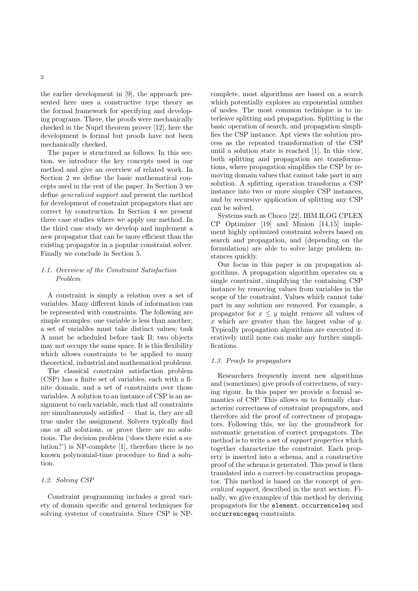the earlier development in [9], the approach presented here uses a constructive type theory as the formal framework for specifying and developing programs. There, the proofs were mechanically checked in the Nuprl theorem prover [12], here the development is formal but proofs have not been mechanically checked.

The paper is structured as follows. In this section, we introduce the key concepts used in our method and give an overview of related work. In Section 2 we define the basic mathematical concepts used in the rest of the paper. In Section 3 we define generalized support and present the method for development of constraint propagators that are correct by construction. In Section 4 we present three case studies where we apply our method. In the third case study we develop and implement a new propagator that can be more efficient than the existing propagator in a popular constraint solver. Finally we conclude in Section 5.

# 1.1. Overview of the Constraint Satisfaction Problem

A constraint is simply a relation over a set of variables. Many different kinds of information can be represented with constraints. The following are simple examples: one variable is less than another; a set of variables must take distinct values; task A must be scheduled before task B; two objects may not occupy the same space. It is this flexibility which allows constraints to be applied to many theoretical, industrial and mathematical problems.

The classical constraint satisfaction problem (CSP) has a finite set of variables, each with a finite domain, and a set of constraints over those variables. A solution to an instance of CSP is an assignment to each variable, such that all constraints are simultaneously satisfied — that is, they are all true under the assignment. Solvers typically find one or all solutions, or prove there are no solutions. The decision problem ('does there exist a solution?') is NP-complete [1], therefore there is no known polynomial-time procedure to find a solution.

## 1.2. Solving CSP

Constraint programming includes a great variety of domain specific and general techniques for solving systems of constraints. Since CSP is NP-

complete, most algorithms are based on a search which potentially explores an exponential number of nodes. The most common technique is to interleave splitting and propagation. Splitting is the basic operation of search, and propagation simplifies the CSP instance. Apt views the solution process as the repeated transformation of the CSP until a solution state is reached [1]. In this view, both splitting and propagation are transformations, where propagation simplifies the CSP by removing domain values that cannot take part in any solution. A splitting operation transforms a CSP instance into two or more simpler CSP instances, and by recursive application of splitting any CSP can be solved.

Systems such as Choco [22], IBM ILOG CPLEX CP Optimizer [19] and Minion [14,15] implement highly optimized constraint solvers based on search and propagation, and (depending on the formulation) are able to solve large problem instances quickly.

Our focus in this paper is on propagation algorithms. A propagation algorithm operates on a single constraint, simplifying the containing CSP instance by removing values from variables in the scope of the constraint. Values which cannot take part in any solution are removed. For example, a propagator for  $x \leq y$  might remove all values of  $x$  which are greater than the largest value of  $y$ . Typically propagation algorithms are executed iteratively until none can make any further simplifications.

## 1.3. Proofs to propagators

Researchers frequently invent new algorithms and (sometimes) give proofs of correctness, of varying rigour. In this paper we provide a formal semantics of CSP. This allows us to formally characterize correctness of constraint propagators, and therefore aid the proof of correctness of propagators. Following this, we lay the groundwork for automatic generation of correct propagators. The method is to write a set of support properties which together characterize the constraint. Each property is inserted into a schema, and a constructive proof of the schema is generated. This proof is then translated into a correct-by-construction propagator. This method is based on the concept of generalized support, described in the next section. Finally, we give examples of this method by deriving propagators for the element, occurrenceleq and occurrencegeq constraints.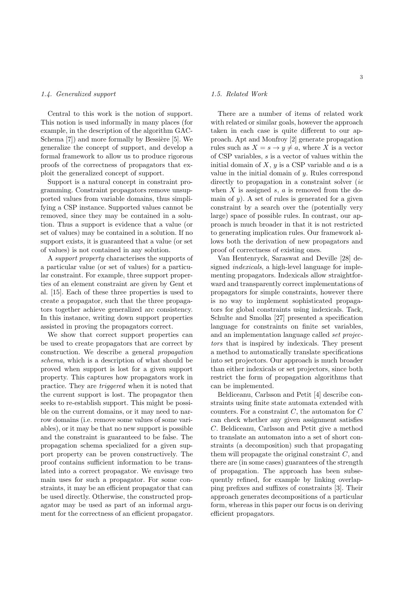#### 1.4. Generalized support

Central to this work is the notion of support. This notion is used informally in many places (for example, in the description of the algorithm GAC-Schema  $[7]$  and more formally by Bessière  $[5]$ . We generalize the concept of support, and develop a formal framework to allow us to produce rigorous proofs of the correctness of propagators that exploit the generalized concept of support.

Support is a natural concept in constraint programming. Constraint propagators remove unsupported values from variable domains, thus simplifying a CSP instance. Supported values cannot be removed, since they may be contained in a solution. Thus a support is evidence that a value (or set of values) may be contained in a solution. If no support exists, it is guaranteed that a value (or set of values) is not contained in any solution.

A support property characterises the supports of a particular value (or set of values) for a particular constraint. For example, three support properties of an element constraint are given by Gent et al. [15]. Each of these three properties is used to create a propagator, such that the three propagators together achieve generalized arc consistency. In this instance, writing down support properties assisted in proving the propagators correct.

We show that correct support properties can be used to create propagators that are correct by construction. We describe a general propagation schema, which is a description of what should be proved when support is lost for a given support property. This captures how propagators work in practice. They are triggered when it is noted that the current support is lost. The propagator then seeks to re-establish support. This might be possible on the current domains, or it may need to narrow domains (i.e. remove some values of some variables), or it may be that no new support is possible and the constraint is guaranteed to be false. The propagation schema specialized for a given support property can be proven constructively. The proof contains sufficient information to be translated into a correct propagator. We envisage two main uses for such a propagator. For some constraints, it may be an efficient propagator that can be used directly. Otherwise, the constructed propagator may be used as part of an informal argument for the correctness of an efficient propagator.

#### 1.5. Related Work

There are a number of items of related work with related or similar goals, however the approach taken in each case is quite different to our approach. Apt and Monfroy [2] generate propagation rules such as  $X = s \rightarrow y \neq a$ , where X is a vector of CSP variables, s is a vector of values within the initial domain of  $X$ ,  $y$  is a CSP variable and  $a$  is a value in the initial domain of y. Rules correspond directly to propagation in a constraint solver (ie) when  $X$  is assigned  $s, a$  is removed from the domain of  $y$ ). A set of rules is generated for a given constraint by a search over the (potentially very large) space of possible rules. In contrast, our approach is much broader in that it is not restricted to generating implication rules. Our framework allows both the derivation of new propagators and proof of correctness of existing ones.

Van Hentenryck, Saraswat and Deville [28] designed indexicals, a high-level language for implementing propagators. Indexicals allow straightforward and transparently correct implementations of propagators for simple constraints, however there is no way to implement sophisticated propagators for global constraints using indexicals. Tack, Schulte and Smolka [27] presented a specification language for constraints on finite set variables, and an implementation language called set projectors that is inspired by indexicals. They present a method to automatically translate specifications into set projectors. Our approach is much broader than either indexicals or set projectors, since both restrict the form of propagation algorithms that can be implemented.

Beldiceanu, Carlsson and Petit [4] describe constraints using finite state automata extended with counters. For a constraint  $C$ , the automaton for  $C$ can check whether any given assignment satisfies C. Beldiceanu, Carlsson and Petit give a method to translate an automaton into a set of short constraints (a decomposition) such that propagating them will propagate the original constraint C, and there are (in some cases) guarantees of the strength of propagation. The approach has been subsequently refined, for example by linking overlapping prefixes and suffixes of constraints [3]. Their approach generates decompositions of a particular form, whereas in this paper our focus is on deriving efficient propagators.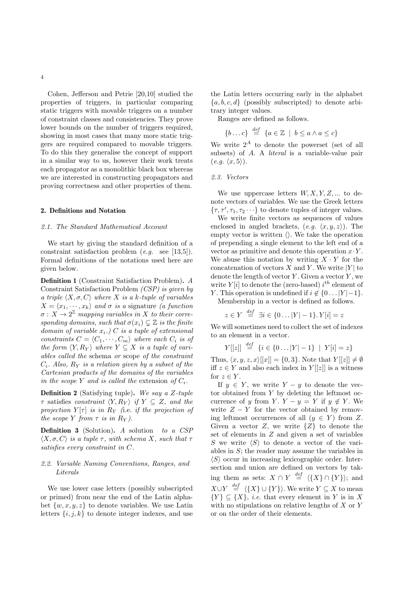Cohen, Jefferson and Petrie [20,10] studied the properties of triggers, in particular comparing static triggers with movable triggers on a number of constraint classes and consistencies. They prove lower bounds on the number of triggers required. showing in most cases that many more static triggers are required compared to movable triggers. To do this they generalise the concept of support in a similar way to us, however their work treats each propagator as a monolithic black box whereas we are interested in constructing propagators and proving correctness and other properties of them.

## 2. Definitions and Notation

# 2.1. The Standard Mathematical Account

We start by giving the standard definition of a constraint satisfaction problem (e.g. see [13,5]). Formal definitions of the notations used here are given below.

Definition 1 (Constraint Satisfaction Problem). A Constraint Satisfaction Problem (CSP) is given by a triple  $\langle X, \sigma, C \rangle$  where X is a k-tuple of variables  $X = \langle x_1, \cdots, x_k \rangle$  and  $\sigma$  is a signature (a function  $\sigma : X \to 2^{\mathbb{Z}}$  mapping variables in X to their corresponding domains, such that  $\sigma(x_i) \subsetneq \mathbb{Z}$  is the finite domain of variable  $x_i$ .) C is a tuple of extensional constraints  $C = \langle C_1, \cdots, C_m \rangle$  where each  $C_i$  is of the form  $\langle Y, R_Y \rangle$  where  $Y \subseteq X$  is a tuple of variables called the schema or scope of the constraint  $C_i$ . Also,  $R_Y$  is a relation given by a subset of the Cartesian products of the domains of the variables in the scope Y and is called the extension of  $C_i$ .

**Definition 2** (Satisfying tuple). We say a Z-tuple  $\tau$  satisfies constraint  $\langle Y, R_Y \rangle$  if  $Y \subseteq Z$ , and the projection  $Y[\tau]$  is in  $R_Y$  (i.e. if the projection of the scope Y from  $\tau$  is in  $R_Y$ ).

Definition 3 (Solution). A solution to a CSP  $\langle X, \sigma, C \rangle$  is a tuple  $\tau$ , with schema X, such that  $\tau$ satisfies every constraint in C.

## 2.2. Variable Naming Conventions, Ranges, and Literals

We use lower case letters (possibly subscripted or primed) from near the end of the Latin alphabet  $\{w, x, y, z\}$  to denote variables. We use Latin letters  $\{i, j, k\}$  to denote integer indexes, and use the Latin letters occurring early in the alphabet  ${a, b, c, d}$  (possibly subscripted) to denote arbitrary integer values.

Ranges are defined as follows.

 $\{b \dots c\} \stackrel{def}{=} \{a \in \mathbb{Z} \mid b \leq a \wedge a \leq c\}$ 

We write  $2^A$  to denote the powerset (set of all subsets) of A. A literal is a variable-value pair  $(e.g. \langle x, 5 \rangle).$ 

## 2.3. Vectors

We use uppercase letters  $W, X, Y, Z, ...$  to denote vectors of variables. We use the Greek letters  $\{\tau, \tau', \tau_1, \tau_2 \cdots\}$  to denote tuples of integer values.

We write finite vectors as sequences of values enclosed in angled brackets,  $(e.g. \langle x, y, z \rangle)$ . The empty vector is written  $\langle \rangle$ . We take the operation of prepending a single element to the left end of a vector as primitive and denote this operation  $x \cdot Y$ . We abuse this notation by writing  $X \cdot Y$  for the concatenation of vectors  $X$  and  $Y$ . We write  $|Y|$  to denote the length of vector  $Y$ . Given a vector  $Y$ , we write  $Y[i]$  to denote the (zero-based)  $i^{th}$  element of Y. This operation is undefined if  $i \notin \{0 \dots |Y|-1\}$ .

Membership in a vector is defined as follows.

$$
z \in Y \stackrel{def}{=} \exists i \in \{0 \dots |Y|-1\}. Y[i] = z
$$

 $\overline{J} \cdot \overline{I}$ 

We will sometimes need to collect the set of indexes to an element in a vector.

$$
Y[[z]] \stackrel{def}{=} \{i \in \{0 \dots |Y| - 1\} \mid Y[i] = z\}
$$

Thus,  $\langle x, y, z, x \rangle[[x]] = \{0, 3\}$ . Note that  $Y[[z]] \neq \emptyset$ iff  $z \in Y$  and also each index in  $Y[[z]]$  is a witness for  $z \in Y$ .

If  $y \in Y$ , we write  $Y - y$  to denote the vector obtained from Y by deleting the leftmost occurrence of y from Y.  $Y - y = Y$  if  $y \notin Y$ . We write  $Z - Y$  for the vector obtained by removing leftmost occurrences of all  $(y \in Y)$  from Z. Given a vector  $Z$ , we write  $\{Z\}$  to denote the set of elements in Z and given a set of variables S we write  $\langle S \rangle$  to denote a vector of the variables in S; the reader may assume the variables in  $\langle S \rangle$  occur in increasing lexicographic order. Intersection and union are defined on vectors by taking them as sets:  $X \cap Y \stackrel{def}{=} \langle \{X\} \cap \{Y\} \rangle$ ; and  $X \cup Y \stackrel{\text{def}}{=} \langle \{X\} \cup \{Y\} \rangle$ . We write  $Y \subseteq X$  to mean  $\{Y\} \subseteq \{X\},\$ i.e. that every element in Y is in X with no stipulations on relative lengths of X or Y or on the order of their elements.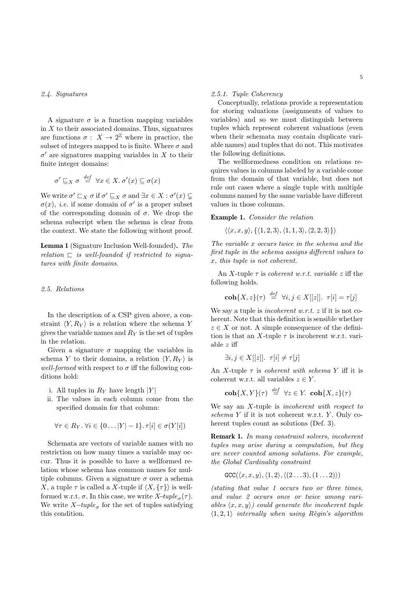#### 2.4. Signatures

A signature  $\sigma$  is a function mapping variables in  $X$  to their associated domains. Thus, signatures are functions  $\sigma: X \to 2^{\mathbb{Z}}$  where in practice, the subset of integers mapped to is finite. Where  $\sigma$  and  $\sigma'$  are signatures mapping variables in X to their finite integer domains:

$$
\sigma' \sqsubseteq_X \sigma \stackrel{def}{=} \forall x \in X. \ \sigma'(x) \subseteq \sigma(x)
$$

We write  $\sigma' \sqsubset_X \sigma$  if  $\sigma' \sqsubseteq_X \sigma$  and  $\exists x \in X : \sigma'(x) \subsetneq$  $\sigma(x)$ , *i.e.* if some domain of  $\sigma'$  is a proper subset of the corresponding domain of  $\sigma$ . We drop the schema subscript when the schema is clear from the context. We state the following without proof.

Lemma 1 (Signature Inclusion Well-founded). The relation  $\Gamma$  is well-founded if restricted to signatures with finite domains.

## 2.5. Relations

In the description of a CSP given above, a constraint  $\langle Y, R_Y \rangle$  is a relation where the schema Y gives the variable names and  $R_Y$  is the set of tuples in the relation.

Given a signature  $\sigma$  mapping the variables in schema Y to their domains, a relation  $\langle Y, R_V \rangle$  is well-formed with respect to  $\sigma$  iff the following conditions hold:

- i. All tuples in  $R_Y$  have length  $|Y|$
- ii. The values in each column come from the specified domain for that column:

$$
\forall \tau \in R_Y. \ \forall i \in \{0 \dots |Y| - 1\}. \ \tau[i] \in \sigma(Y[i])
$$

Schemata are vectors of variable names with no restriction on how many times a variable may occur. Thus it is possible to have a wellformed relation whose schema has common names for multiple columns. Given a signature  $\sigma$  over a schema X, a tuple  $\tau$  is called a X-tuple if  $\langle X, {\tau} \rangle$  is wellformed w.r.t.  $\sigma$ . In this case, we write  $X=tuple_{\sigma}(\tau)$ . We write  $X$ - $tuple_{\sigma}$  for the set of tuples satisfying this condition.

#### 2.5.1. Tuple Coherency

Conceptually, relations provide a representation for storing valuations (assignments of values to variables) and so we must distinguish between tuples which represent coherent valuations (even when their schemata may contain duplicate variable names) and tuples that do not. This motivates the following definitions.

The wellformedness condition on relations requires values in columns labeled by a variable come from the domain of that variable, but does not rule out cases where a single tuple with multiple columns named by the same variable have different values in those columns.

## Example 1. Consider the relation

 $\langle \langle x, x, y \rangle, \{ \langle 1, 2, 3 \rangle, \langle 1, 1, 3 \rangle, \langle 2, 2, 3 \rangle \} \rangle$ 

The variable x occurs twice in the schema and the first tuple in the schema assigns different values to x, this tuple is not coherent.

An X-tuple  $\tau$  is *coherent w.r.t. variable z* iff the following holds.

$$
\mathbf{coh}\{X,z\}(\tau) \stackrel{def}{=} \forall i,j \in X[[z]]. \quad \tau[i] = \tau[j]
$$

We say a tuple is *incoherent w.r.t.*  $z$  if it is not coherent. Note that this definition is sensible whether  $z \in X$  or not. A simple consequence of the definition is that an X-tuple  $\tau$  is incoherent w.r.t. variable z iff

$$
\exists i, j \in X[[z]]. \ \tau[i] \neq \tau[j]
$$

An X-tuple  $\tau$  is *coherent with schema* Y iff it is coherent w.r.t. all variables  $z \in Y$ .

$$
\mathbf{coh}\{X,Y\}(\tau) \stackrel{def}{=} \forall z \in Y. \; \mathbf{coh}\{X,z\}(\tau)
$$

def

We say an X-tuple is *incoherent with respect to* schema Y if it is not coherent w.r.t. Y. Only coherent tuples count as solutions (Def. 3).

Remark 1. In many constraint solvers, incoherent tuples may arise during a computation, but they are never counted among solutions. For example, the Global Cardinality constraint

$$
\text{GCC}(\langle x, x, y \rangle, \langle 1, 2 \rangle, \langle (2 \dots 3), (1 \dots 2) \rangle)
$$

(stating that value 1 occurs two or three times, and value 2 occurs once or twice among variables  $\langle x, x, y \rangle$  could generate the incoherent tuple  $\langle 1, 2, 1 \rangle$  internally when using Règin's algorithm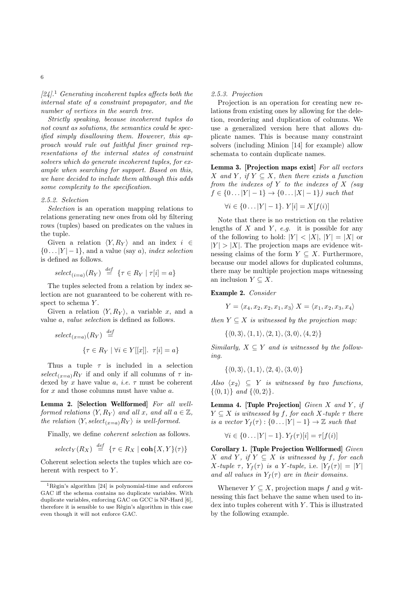$[24]$ <sup>1</sup> Generating incoherent tuples affects both the internal state of a constraint propagator, and the number of vertices in the search tree.

Strictly speaking, because incoherent tuples do not count as solutions, the semantics could be specified simply disallowing them. However, this approach would rule out faithful finer grained representations of the internal states of constraint solvers which do generate incoherent tuples, for example when searching for support. Based on this, we have decided to include them although this adds some complexity to the specification.

#### 2.5.2. Selection

Selection is an operation mapping relations to relations generating new ones from old by filtering rows (tuples) based on predicates on the values in the tuple.

Given a relation  $\langle Y, R_Y \rangle$  and an index  $i \in$  ${0...|Y|-1}$ , and a value (say a), index selection is defined as follows.

$$
select_{(i=a)}(R_Y) \stackrel{def}{=} \{\tau \in R_Y \mid \tau[i] = a\}
$$

The tuples selected from a relation by index selection are not guaranteed to be coherent with respect to schema Y.

Given a relation  $\langle Y, R_Y \rangle$ , a variable x, and a value a, value selection is defined as follows.

$$
select_{(x=a)}(R_Y) \stackrel{def}{=} \{ \tau \in R_Y \mid \forall i \in Y[[x]]. \quad \tau[i] = a \}
$$

Thus a tuple  $\tau$  is included in a selection  $select_{(x=a)}R_Y$  if and only if all columns of  $\tau$  indexed by x have value a, *i.e.*  $\tau$  must be coherent for  $x$  and those columns must have value  $a$ .

Lemma 2. [Selection Wellformed] For all wellformed relations  $\langle Y, R_Y \rangle$  and all  $x$ , and all  $a \in \mathbb{Z}$ , the relation  $\langle Y, select_{(x=a)}R_Y \rangle$  is well-formed.

Finally, we define coherent selection as follows.

$$
select_Y(R_X) \stackrel{def}{=} \{\tau \in R_X \mid \mathbf{coh}\{X, Y\}(\tau)\}\
$$

Coherent selection selects the tuples which are coherent with respect to Y.

#### 2.5.3. Projection

Projection is an operation for creating new relations from existing ones by allowing for the deletion, reordering and duplication of columns. We use a generalized version here that allows duplicate names. This is because many constraint solvers (including Minion [14] for example) allow schemata to contain duplicate names.

Lemma 3. [Projection maps exist] For all vectors X and Y, if  $Y \subseteq X$ , then there exists a function from the indexes of  $Y$  to the indexes of  $X$  (say  $f \in \{0...|Y|-1\} \to \{0...|X|-1\}$  such that

$$
\forall i \in \{0 \dots |Y| - 1\}. \ Y[i] = X[f(i)]
$$

Note that there is no restriction on the relative lengths of  $X$  and  $Y$ , e.g. it is possible for any of the following to hold:  $|Y| < |X|, |Y| = |X|$  or  $|Y| > |X|$ . The projection maps are evidence witnessing claims of the form  $Y \subseteq X$ . Furthermore, because our model allows for duplicated columns, there may be multiple projection maps witnessing an inclusion  $Y \subseteq X$ .

#### Example 2. Consider

$$
Y = \langle x_4, x_2, x_2, x_1, x_3 \rangle X = \langle x_1, x_2, x_3, x_4 \rangle
$$

then  $Y \subseteq X$  is witnessed by the projection map:

$$
\{\langle 0,3 \rangle, \langle 1,1 \rangle, \langle 2,1 \rangle, \langle 3,0 \rangle, \langle 4,2 \rangle\}
$$

Similarly,  $X \subseteq Y$  and is witnessed by the following.

$$
\{\langle 0,3 \rangle, \langle 1,1 \rangle, \langle 2,4 \rangle, \langle 3,0 \rangle\}
$$

Also  $\langle x_2 \rangle \subseteq Y$  is witnessed by two functions,  $\{\langle 0, 1 \rangle\}$  and  $\{\langle 0, 2 \rangle\}.$ 

**Lemma 4. [Tuple Projection]** Given  $X$  and  $Y$ , if  $Y \subseteq X$  is witnessed by f, for each X-tuple  $\tau$  there is a vector  $Y_f(\tau) : \{0 \dots |Y| - 1\} \to \mathbb{Z}$  such that

$$
\forall i \in \{0 \dots |Y| - 1\}. \ Y_f(\tau)[i] = \tau[f(i)]
$$

Corollary 1. [Tuple Projection Wellformed] Given X and Y, if  $Y \subseteq X$  is witnessed by f, for each X-tuple  $\tau$ ,  $Y_f(\tau)$  is a Y-tuple, i.e.  $|Y_f(\tau)| = |Y|$ and all values in  $Y_f(\tau)$  are in their domains.

Whenever  $Y \subseteq X$ , projection maps f and q witnessing this fact behave the same when used to in- $\gamma$  dex into tuples coherent with Y. This is illustrated by the following example.

 ${}^{1}$ Règin's algorithm [24] is polynomial-time and enforces GAC iff the schema contains no duplicate variables. With duplicate variables, enforcing GAC on GCC is NP-Hard [6], therefore it is sensible to use Règin's algorithm in this case even though it will not enforce GAC.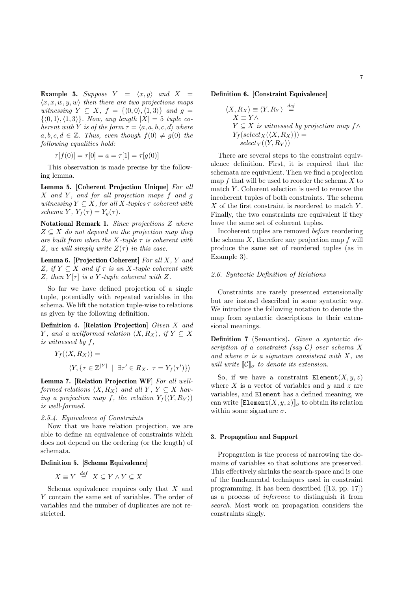**Example 3.** Suppose  $Y = \langle x, y \rangle$  and  $X =$  $\langle x, x, w, y, w \rangle$  then there are two projections maps witnessing  $Y \subseteq X$ ,  $f = \{ \langle 0, 0 \rangle, \langle 1, 3 \rangle \}$  and  $g =$  $\{\langle 0, 1 \rangle, \langle 1, 3 \rangle\}.$  Now, any length  $|X| = 5$  tuple coherent with Y is of the form  $\tau = \langle a, a, b, c, d \rangle$  where  $a, b, c, d \in \mathbb{Z}$ . Thus, even though  $f(0) \neq g(0)$  the following equalities hold:

 $\tau[f(0)] = \tau[0] = a = \tau[1] = \tau[g(0)]$ 

This observation is made precise by the following lemma.

Lemma 5. [Coherent Projection Unique] For all  $X$  and  $Y$ , and for all projection maps  $f$  and  $g$ witnessing  $Y \subseteq X$ , for all X-tuples  $\tau$  coherent with schema Y,  $Y_f(\tau) = Y_q(\tau)$ .

Notational Remark 1. Since projections Z where  $Z \subseteq X$  do not depend on the projection map they are built from when the X-tuple  $\tau$  is coherent with Z, we will simply write  $Z(\tau)$  in this case.

Lemma 6. [Projection Coherent] For all X, Y and Z, if  $Y \subseteq X$  and if  $\tau$  is an X-tuple coherent with Z, then  $Y[\tau]$  is a Y-tuple coherent with Z.

So far we have defined projection of a single tuple, potentially with repeated variables in the schema. We lift the notation tuple-wise to relations as given by the following definition.

Definition 4. [Relation Projection] Given X and Y, and a wellformed relation  $\langle X, R_X \rangle$ , if  $Y \subseteq X$ is witnessed by f,

$$
Y_f(\langle X, R_X \rangle) =
$$
  

$$
\langle Y, \{ \tau \in \mathbb{Z}^{|Y|} \mid \exists \tau' \in R_X. \ \tau = Y_f(\tau') \} \rangle
$$

Lemma 7. [Relation Projection WF] For all wellformed relations  $\langle X, R_X \rangle$  and all Y,  $Y \subseteq X$  having a projection map f, the relation  $Y_f(\langle Y, R_Y \rangle)$ is well-formed.

2.5.4. Equivalence of Constraints

Now that we have relation projection, we are able to define an equivalence of constraints which does not depend on the ordering (or the length) of schemata.

### Definition 5. [Schema Equivalence]

$$
X \equiv Y \stackrel{\text{def}}{=} X \subseteq Y \wedge Y \subseteq X
$$

Schema equivalence requires only that X and Y contain the same set of variables. The order of variables and the number of duplicates are not restricted.

Definition 6. [Constraint Equivalence]

$$
\langle X, R_X \rangle \equiv \langle Y, R_Y \rangle \stackrel{def}{=} X \equiv Y \wedge Y \subseteq X \text{ is witnessed by projection map } f \wedge Y_f (select_X(\langle X, R_X \rangle)) = select_Y(\langle Y, R_Y \rangle)
$$

 $\overline{a}$ 

There are several steps to the constraint equivalence definition. First, it is required that the schemata are equivalent. Then we find a projection map  $f$  that will be used to reorder the schema  $X$  to match Y. Coherent selection is used to remove the incoherent tuples of both constraints. The schema X of the first constraint is reordered to match Y. Finally, the two constraints are equivalent if they have the same set of coherent tuples.

Incoherent tuples are removed before reordering the schema  $X$ , therefore any projection map  $f$  will produce the same set of reordered tuples (as in Example 3).

## 2.6. Syntactic Definition of Relations

Constraints are rarely presented extensionally but are instead described in some syntactic way. We introduce the following notation to denote the map from syntactic descriptions to their extensional meanings.

Definition 7 (Semantics). Given a syntactic description of a constraint (say C) over schema X and where  $\sigma$  is a signature consistent with X, we will write  $\llbracket \mathcal{C} \rrbracket_{\sigma}$  to denote its extension.

So, if we have a constraint  $Element(X, y, z)$ where  $X$  is a vector of variables and  $y$  and  $z$  are variables, and Element has a defined meaning, we can write  $[\mathsf{Element}(X, y, z)]_{\sigma}$  to obtain its relation within some signature  $\sigma$ .

#### 3. Propagation and Support

Propagation is the process of narrowing the domains of variables so that solutions are preserved. This effectively shrinks the search-space and is one of the fundamental techniques used in constraint programming. It has been described ([13, pp. 17]) as a process of inference to distinguish it from search. Most work on propagation considers the constraints singly.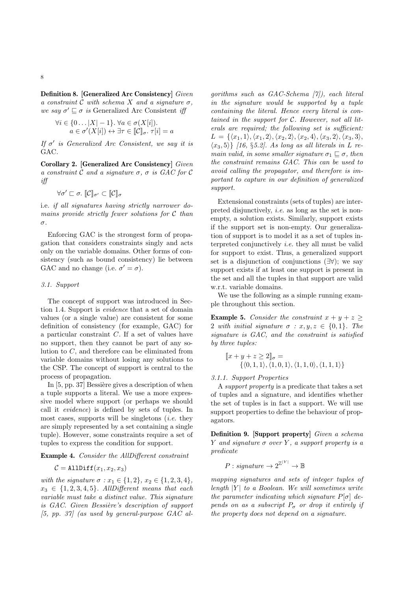we say  $\sigma' \sqsubseteq \sigma$  is Generalized Arc Consistent if  $\forall i \in \{0 \dots |X|-1\}$ .  $\forall a \in \sigma(X[i])$ .  $a \in \sigma'(X[i]) \leftrightarrow \exists \tau \in [\![\mathcal{C}]\!]_{\sigma}. \tau[i] = a$ 

If  $\sigma'$  is Generalized Arc Consistent, we say it is GAC.

Corollary 2. [Generalized Arc Consistency] Given a constraint  $\mathcal C$  and a signature  $\sigma$ ,  $\sigma$  is GAC for  $\mathcal C$ iff

$$
\forall \sigma' \sqsubset \sigma. \; [\![\mathcal{C}]\!]_{\sigma'} \subset [\![\mathcal{C}]\!]_{\sigma}
$$

i.e. if all signatures having strictly narrower domains provide strictly fewer solutions for C than σ.

Enforcing GAC is the strongest form of propagation that considers constraints singly and acts only on the variable domains. Other forms of consistency (such as bound consistency) lie between GAC and no change (i.e.  $\sigma' = \sigma$ ).

## 3.1. Support

The concept of support was introduced in Section 1.4. Support is evidence that a set of domain values (or a single value) are consistent for some definition of consistency (for example, GAC) for a particular constraint C. If a set of values have no support, then they cannot be part of any solution to C, and therefore can be eliminated from variable domains without losing any solutions to the CSP. The concept of support is central to the process of propagation.

In  $[5, pp. 37]$  Bessière gives a description of when a tuple supports a literal. We use a more expressive model where support (or perhaps we should call it evidence) is defined by sets of tuples. In most cases, supports will be singletons  $(i.e.$  they are simply represented by a set containing a single tuple). However, some constraints require a set of tuples to express the condition for support.

Example 4. Consider the AllDifferent constraint

$$
\mathcal{C} = \mathtt{AllDiff}(x_1, x_2, x_3)
$$

with the signature  $\sigma : x_1 \in \{1,2\}, x_2 \in \{1,2,3,4\},$  $x_3 \in \{1, 2, 3, 4, 5\}$ . AllDifferent means that each variable must take a distinct value. This signature is GAC. Given Bessière's description of support  $[5, pp. 37]$  (as used by general-purpose GAC al-

gorithms such as GAC-Schema [7]), each literal in the signature would be supported by a tuple containing the literal. Hence every literal is contained in the support for C. However, not all literals are required; the following set is sufficient:  $L = \{ \langle x_1, 1 \rangle, \langle x_1, 2 \rangle, \langle x_2, 2 \rangle, \langle x_2, 4 \rangle, \langle x_3, 2 \rangle, \langle x_3, 3 \rangle,$  $\{x_3, 5\}$  [16, §5.2]. As long as all literals in L remain valid, in some smaller signature  $\sigma_1 \subseteq \sigma$ , then the constraint remains GAC. This can be used to avoid calling the propagator, and therefore is important to capture in our definition of generalized support.

Extensional constraints (sets of tuples) are interpreted disjunctively, i.e. as long as the set is nonempty, a solution exists. Similarly, support exists if the support set is non-empty. Our generalization of support is to model it as a set of tuples interpreted conjunctively i.e. they all must be valid for support to exist. Thus, a generalized support set is a disjunction of conjunctions (∃∀); we say support exists if at least one support is present in the set and all the tuples in that support are valid w.r.t. variable domains.

We use the following as a simple running example throughout this section.

**Example 5.** Consider the constraint  $x + y + z \geq 0$ 2 with initial signature  $\sigma : x, y, z \in \{0, 1\}$ . The signature is GAC, and the constraint is satisfied by three tuples:

$$
\begin{aligned} \llbracket x+y+z \ge 2 \rrbracket_{\sigma} &= \\ \{ \langle 0,1,1 \rangle, \langle 1,0,1 \rangle, \langle 1,1,0 \rangle, \langle 1,1,1 \rangle \} \end{aligned}
$$

## 3.1.1. Support Properties

A support property is a predicate that takes a set of tuples and a signature, and identifies whether the set of tuples is in fact a support. We will use support properties to define the behaviour of propagators.

Definition 9. [Support property] Given a schema Y and signature  $\sigma$  over Y, a support property is a predicate

$$
P: signature \rightarrow 2^{\mathbb{Z}^{|Y|}} \rightarrow \mathbb{B}
$$

mapping signatures and sets of integer tuples of length  $|Y|$  to a Boolean. We will sometimes write the parameter indicating which signature  $P[\sigma]$  depends on as a subscript  $P_{\sigma}$  or drop it entirely if the property does not depend on a signature.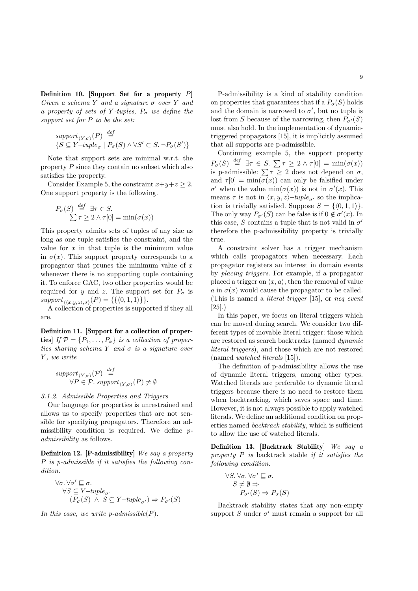Definition 10. [Support Set for a property  $P$ ] Given a schema Y and a signature  $\sigma$  over Y and a property of sets of Y-tuples,  $P_{\sigma}$  we define the support set for P to be the set:

$$
support_{(Y,\sigma)}(P) \stackrel{def}{=} \{S \subseteq Y - tuple_{\sigma} \mid P_{\sigma}(S) \land \forall S' \subset S. \neg P_{\sigma}(S')\}
$$

Note that support sets are minimal w.r.t. the property P since they contain no subset which also satisfies the property.

Consider Example 5, the constraint  $x+y+z \geq 2$ . One support property is the following.

$$
P_{\sigma}(S) \stackrel{def}{=} \exists \tau \in S.
$$
  

$$
\sum \tau \ge 2 \land \tau[0] = \min(\sigma(x))
$$

This property admits sets of tuples of any size as long as one tuple satisfies the constraint, and the value for  $x$  in that tuple is the minimum value in  $\sigma(x)$ . This support property corresponds to a propagator that prunes the minimum value of  $x$ whenever there is no supporting tuple containing it. To enforce GAC, two other properties would be required for y and z. The support set for  $P_{\sigma}$  is  $support_{\langle\langle x,y,z\rangle,\sigma\rangle}(P) = {\lbrace\langle0,1,1\rangle\rbrace}.$ 

A collection of properties is supported if they all are.

Definition 11. [Support for a collection of properties] If  $\mathcal{P} = \{P_1, \ldots, P_k\}$  is a collection of properties sharing schema Y and  $\sigma$  is a signature over Y, we write

$$
support_{(Y,\sigma)}(\mathcal{P}) \stackrel{def}{=} \forall P \in \mathcal{P}. support_{(Y,\sigma)}(P) \neq \emptyset
$$

## 3.1.2. Admissible Properties and Triggers

Our language for properties is unrestrained and allows us to specify properties that are not sensible for specifying propagators. Therefore an admissibility condition is required. We define padmissibility as follows.

**Definition 12.** [P-admissibility] We say a property P is p-admissible if it satisfies the following condition.

$$
\forall \sigma. \ \forall \sigma' \sqsubseteq \sigma. \forall S \subseteq Y - tuple_{\sigma}. (P_{\sigma}(S) \ \wedge \ S \subseteq Y - tuple_{\sigma'}) \Rightarrow P_{\sigma'}(S)
$$

In this case, we write  $p$ -admissible(P).

P-admissibility is a kind of stability condition on properties that guarantees that if a  $P_{\sigma}(S)$  holds and the domain is narrowed to  $\sigma'$ , but no tuple is lost from S because of the narrowing, then  $P_{\sigma'}(S)$ must also hold. In the implementation of dynamictriggered propagators [15], it is implicitly assumed that all supports are p-admissible.

Continuing example 5, the support property  $P_{\sigma}(S) \stackrel{def}{=} \exists \tau \in S. \sum \tau \geq 2 \wedge \tau[0] = \min(\sigma(x))$ is p-admissible:  $\sum \tau \geq 2$  does not depend on  $\sigma$ , and  $\tau[0] = \min(\sigma(x))$  can only be falsified under σ' when the value min( $\sigma(x)$ ) is not in  $\sigma'(x)$ . This means  $\tau$  is not in  $\langle x, y, z \rangle$ −tuple<sub>σ</sub>′ so the implication is trivially satisfied. Suppose  $S = \{ (0, 1, 1) \}.$ The only way  $P_{\sigma'}(S)$  can be false is if  $0 \notin \sigma'(x)$ . In this case, S contains a tuple that is not valid in  $\sigma'$ therefore the p-admissibility property is trivially true.

A constraint solver has a trigger mechanism which calls propagators when necessary. Each propagator registers an interest in domain events by placing triggers. For example, if a propagator placed a trigger on  $\langle x, a \rangle$ , then the removal of value a in  $\sigma(x)$  would cause the propagator to be called. (This is named a literal trigger [15], or neq event [25].)

In this paper, we focus on literal triggers which can be moved during search. We consider two different types of movable literal trigger: those which are restored as search backtracks (named dynamic literal triggers), and those which are not restored (named watched literals [15]).

The definition of p-admissibility allows the use of dynamic literal triggers, among other types. Watched literals are preferable to dynamic literal triggers because there is no need to restore them when backtracking, which saves space and time. However, it is not always possible to apply watched literals. We define an additional condition on properties named backtrack stability, which is sufficient to allow the use of watched literals.

Definition 13. [Backtrack Stability] We say a property  $P$  is backtrack stable if it satisfies the following condition.

$$
\forall S. \forall \sigma. \forall \sigma' \sqsubseteq \sigma. \nS \neq \emptyset \Rightarrow \nP_{\sigma'}(S) \Rightarrow P_{\sigma}(S)
$$

Backtrack stability states that any non-empty support S under  $\sigma'$  must remain a support for all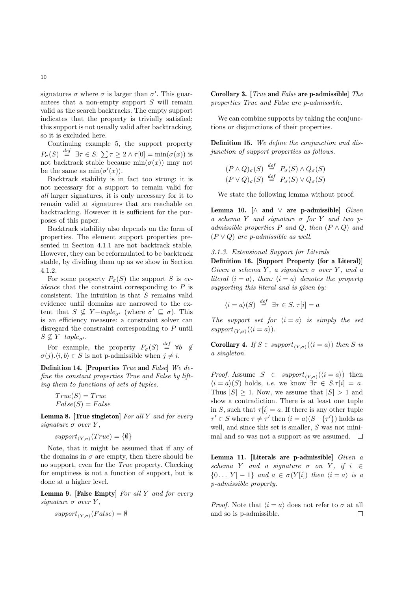signatures  $\sigma$  where  $\sigma$  is larger than  $\sigma'$ . This guarantees that a non-empty support S will remain valid as the search backtracks. The empty support indicates that the property is trivially satisfied; this support is not usually valid after backtracking, so it is excluded here.

Continuing example 5, the support property  $P_{\sigma}(S) \stackrel{def}{=} \exists \tau \in S. \sum \tau \ge 2 \wedge \tau[0] = \min(\sigma(x))$  is not backtrack stable because  $\min(\sigma(x))$  may not be the same as  $\min(\sigma'(x)).$ 

Backtrack stability is in fact too strong: it is not necessary for a support to remain valid for all larger signatures, it is only necessary for it to remain valid at signatures that are reachable on backtracking. However it is sufficient for the purposes of this paper.

Backtrack stability also depends on the form of properties. The element support properties presented in Section 4.1.1 are not backtrack stable. However, they can be reformulated to be backtrack stable, by dividing them up as we show in Section 4.1.2.

For some property  $P_{\sigma}(S)$  the support S is ev*idence* that the constraint corresponding to  $P$  is consistent. The intuition is that  $S$  remains valid evidence until domains are narrowed to the extent that  $S \nsubseteq Y - tuple_{\sigma'}$  (where  $\sigma' \subseteq \sigma$ ). This is an efficiency measure: a constraint solver can disregard the constraint corresponding to P until  $S \not\subseteq Y$ −tuple<sub>σ</sub>'.

For example, the property  $P_{\sigma}(S) \stackrel{def}{=} \forall b \notin$  $\sigma(j) \Delta \langle i, b \rangle \in S$  is not p-admissible when  $j \neq i$ .

Definition 14. [Properties True and False] We define the constant properties True and False by lifting them to functions of sets of tuples.

$$
True(S) = True
$$
  

$$
False(S) = False
$$

**Lemma 8.** [True singleton] For all Y and for every signature  $\sigma$  over Y,

$$
support_{\langle Y,\sigma\rangle}(True) = \{\emptyset\}
$$

Note, that it might be assumed that if any of the domains in  $\sigma$  are empty, then there should be no support, even for the True property. Checking for emptiness is not a function of support, but is done at a higher level.

**Lemma 9.** [False Empty] For all Y and for every signature  $\sigma$  over Y,

$$
support_{\langle Y,\sigma\rangle}(False)=\emptyset
$$

Corollary 3. [True and False are p-admissible] The properties True and False are p-admissible.

We can combine supports by taking the conjunctions or disjunctions of their properties.

Definition 15. We define the conjunction and disjunction of support properties as follows.

$$
(P \wedge Q)_{\sigma}(S) \stackrel{def}{=} P_{\sigma}(S) \wedge Q_{\sigma}(S)
$$
  

$$
(P \vee Q)_{\sigma}(S) \stackrel{def}{=} P_{\sigma}(S) \vee Q_{\sigma}(S)
$$

We state the following lemma without proof.

Lemma 10.  $\Lambda$  and  $\lor$  are p-admissible Given a schema Y and signature  $\sigma$  for Y and two padmissible properties P and Q, then  $(P \wedge Q)$  and  $(P \vee Q)$  are p-admissible as well.

## 3.1.3. Extensional Support for Literals

Definition 16. [Support Property (for a Literal)] Given a schema Y, a signature  $\sigma$  over Y, and a literal  $\langle i = a \rangle$ , then:  $\langle i = a \rangle$  denotes the property supporting this literal and is given by:

$$
\langle i = a \rangle (S) \stackrel{def}{=} \exists \tau \in S. \ \tau[i] = a
$$

The support set for  $\langle i = a \rangle$  is simply the set  $support_{\langle Y,\sigma\rangle}(\langle i=a\rangle).$ 

**Corollary 4.** If  $S \in support_{\langle Y, \sigma \rangle}(\langle i = a \rangle)$  then S is a singleton.

*Proof.* Assume  $S \in support_{\langle Y, \sigma \rangle}(\langle i = a \rangle)$  then  $\langle i = a \rangle (S)$  holds, *i.e.* we know  $\exists \tau \in S. \tau[i] = a$ . Thus  $|S| \geq 1$ . Now, we assume that  $|S| > 1$  and show a contradiction. There is at least one tuple in S, such that  $\tau[i] = a$ . If there is any other tuple  $\tau' \in S$  where  $\tau \neq \tau'$  then  $\langle i = a \rangle (S - \{\tau'\})$  holds as well, and since this set is smaller, S was not minimal and so was not a support as we assumed.  $\Box$ 

Lemma 11. [Literals are p-admissible] Given a schema Y and a signature  $\sigma$  on Y, if  $i \in$  ${0...|Y|-1}$  and  $a \in \sigma(Y[i])$  then  $\langle i = a \rangle$  is a p-admissible property.

*Proof.* Note that  $\langle i = a \rangle$  does not refer to  $\sigma$  at all and so is p-admissible. $\Box$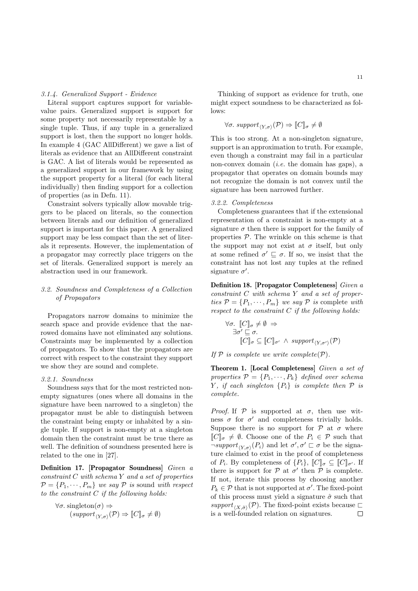#### 3.1.4. Generalized Support - Evidence

Literal support captures support for variablevalue pairs. Generalized support is support for some property not necessarily representable by a single tuple. Thus, if any tuple in a generalized support is lost, then the support no longer holds. In example 4 (GAC AllDifferent) we gave a list of literals as evidence that an AllDifferent constraint is GAC. A list of literals would be represented as a generalized support in our framework by using the support property for a literal (for each literal individually) then finding support for a collection of properties (as in Defn. 11).

Constraint solvers typically allow movable triggers to be placed on literals, so the connection between literals and our definition of generalized support is important for this paper. A generalized support may be less compact than the set of literals it represents. However, the implementation of a propagator may correctly place triggers on the set of literals. Generalized support is merely an abstraction used in our framework.

# 3.2. Soundness and Completeness of a Collection of Propagators

Propagators narrow domains to minimize the search space and provide evidence that the narrowed domains have not eliminated any solutions. Constraints may be implemented by a collection of propagators. To show that the propagators are correct with respect to the constraint they support we show they are sound and complete.

#### 3.2.1. Soundness

Soundness says that for the most restricted nonempty signatures (ones where all domains in the signature have been narrowed to a singleton) the propagator must be able to distinguish between the constraint being empty or inhabited by a single tuple. If support is non-empty at a singleton domain then the constraint must be true there as well. The definition of soundness presented here is related to the one in [27].

Definition 17. [Propagator Soundness] Given a  $constraint C with schema Y and a set of properties$  $\mathcal{P} = \{P_1, \dots, P_m\}$  we say  $\mathcal P$  is sound with respect to the constraint  $C$  if the following holds:

$$
\forall \sigma. \text{ singleton}(\sigma) \Rightarrow (support_{\langle Y, \sigma \rangle}(\mathcal{P}) \Rightarrow \llbracket C \rrbracket_{\sigma} \neq \emptyset)
$$

Thinking of support as evidence for truth, one might expect soundness to be characterized as follows:

$$
\forall \sigma. \ support_{\langle Y, \sigma \rangle}(\mathcal{P}) \Rightarrow \llbracket C \rrbracket_{\sigma} \neq \emptyset
$$

This is too strong. At a non-singleton signature, support is an approximation to truth. For example, even though a constraint may fail in a particular non-convex domain (i.e. the domain has gaps), a propagator that operates on domain bounds may not recognize the domain is not convex until the signature has been narrowed further.

## 3.2.2. Completeness

Completeness guarantees that if the extensional representation of a constraint is non-empty at a signature  $\sigma$  then there is support for the family of properties  $P$ . The wrinkle on this scheme is that the support may not exist at  $\sigma$  itself, but only at some refined  $\sigma' \sqsubseteq \sigma$ . If so, we insist that the constraint has not lost any tuples at the refined signature  $\sigma'$ .

Definition 18. [Propagator Completeness] Given a constraint C with schema Y and a set of properties  $\mathcal{P} = \{P_1, \dots, P_m\}$  we say  $\mathcal P$  is complete with respect to the constraint  $C$  if the following holds:

$$
\forall \sigma. \ [C]_{\sigma} \neq \emptyset \Rightarrow
$$
  
\n
$$
\exists \sigma' \sqsubseteq \sigma.
$$
  
\n
$$
[C]_{\sigma} \subseteq [C]_{\sigma'} \land support_{\langle Y, \sigma' \rangle}(\mathcal{P})
$$

If  $P$  is complete we write complete $(P)$ .

Theorem 1. [Local Completeness] Given a set of properties  $\mathcal{P} = \{P_1, \dots, P_k\}$  defined over schema Y, if each singleton  $\{P_i\}$  is complete then  $P$  is complete.

*Proof.* If  $P$  is supported at  $\sigma$ , then use witness  $\sigma$  for  $\sigma'$  and completeness trivially holds. Suppose there is no support for  $\mathcal P$  at  $\sigma$  where  $\llbracket C \rrbracket_{\sigma} \neq \emptyset$ . Choose one of the  $P_i \in \mathcal{P}$  such that  $\neg support_{\langle Y,\sigma\rangle}(P_i)$  and let  $\sigma',\sigma' \sqsubset \sigma$  be the signature claimed to exist in the proof of completeness of  $P_i$ . By completeness of  $\{P_i\}$ ,  $\llbracket C \rrbracket_{\sigma} \subseteq \llbracket C \rrbracket_{\sigma'}$ . If there is support for  $P$  at  $\sigma'$  then  $P$  is complete. If not, iterate this process by choosing another  $P_k \in \mathcal{P}$  that is not supported at  $\sigma'$ . The fixed-point of this process must yield a signature  $\hat{\sigma}$  such that support<sub> $\langle X,\hat{\sigma}\rangle$ </sub> $(\mathcal{P})$ . The fixed-point exists because  $\Box$ is a well-founded relation on signatures. $\Box$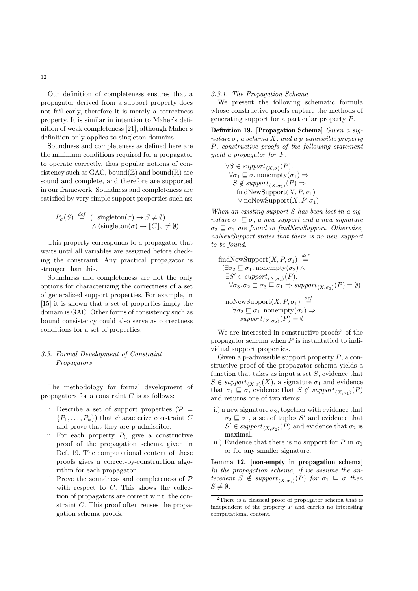Our definition of completeness ensures that a propagator derived from a support property does not fail early, therefore it is merely a correctness property. It is similar in intention to Maher's definition of weak completeness [21], although Maher's definition only applies to singleton domains.

Soundness and completeness as defined here are the minimum conditions required for a propagator to operate correctly, thus popular notions of consistency such as GAC, bound $(\mathbb{Z})$  and bound $(\mathbb{R})$  are sound and complete, and therefore are supported in our framework. Soundness and completeness are satisfied by very simple support properties such as:

$$
P_{\sigma}(S) \stackrel{def}{=} (\neg \text{singleton}(\sigma) \to S \neq \emptyset)
$$
  

$$
\land (\text{singleton}(\sigma) \to \llbracket C \rrbracket_{\sigma} \neq \emptyset)
$$

This property corresponds to a propagator that waits until all variables are assigned before checking the constraint. Any practical propagator is stronger than this.

Soundness and completeness are not the only options for characterizing the correctness of a set of generalized support properties. For example, in [15] it is shown that a set of properties imply the domain is GAC. Other forms of consistency such as bound consistency could also serve as correctness conditions for a set of properties.

# 3.3. Formal Development of Constraint Propagators

The methodology for formal development of propagators for a constraint  $C$  is as follows:

- i. Describe a set of support properties ( $\mathcal{P}$  =  $\{P_1,\ldots,P_k\}$  that characterize constraint C and prove that they are p-admissible.
- ii. For each property  $P_i$ , give a constructive proof of the propagation schema given in Def. 19. The computational content of these proofs gives a correct-by-construction algorithm for each propagator.
- iii. Prove the soundness and completeness of  $P$ with respect to  $C$ . This shows the collection of propagators are correct w.r.t. the constraint C. This proof often reuses the propagation schema proofs.

#### 3.3.1. The Propagation Schema

We present the following schematic formula whose constructive proofs capture the methods of generating support for a particular property P.

Definition 19. [Propagation Schema] Given a signature  $\sigma$ , a schema X, and a p-admissible property P, constructive proofs of the following statement yield a propagator for P.

> $\forall S \in support_{\langle X, \sigma \rangle}(P).$  $\forall \sigma_1 \sqsubseteq \sigma$ . nonempty $(\sigma_1) \Rightarrow$  $S \notin support_{\langle X, \sigma_1 \rangle}(P) \Rightarrow$ findNewSupport $(X, P, \sigma_1)$  $\vee$  noNewSupport $(X, P, \sigma_1)$

When an existing support  $S$  has been lost in a signature  $\sigma_1 \sqsubseteq \sigma$ , a new support and a new signature  $\sigma_2 \sqsubseteq \sigma_1$  are found in findNewSupport. Otherwise, noNewSupport states that there is no new support to be found.

findNewSupport
$$
(X, P, \sigma_1)
$$
  $\stackrel{def}{=} \newline (\exists \sigma_2 \sqsubseteq \sigma_1.\text{ nonempty}(\sigma_2) \land \exists S' \in support_{\langle X, \sigma_2 \rangle}(P).\newline \forall \sigma_3.\sigma_2 \sqsubset \sigma_3 \sqsubseteq \sigma_1 \Rightarrow support_{\langle X, \sigma_3 \rangle}(P) = \emptyset)$ 

noNewSupport
$$
(X, P, \sigma_1)
$$
 and  
\n $\forall \sigma_2 \sqsubseteq \sigma_1$ . nonempty $(\sigma_2) \Rightarrow$   
\n $support_{(X, \sigma_2)}(P) = \emptyset$ 

We are interested in constructive proofs<sup>2</sup> of the propagator schema when  $P$  is instantatied to individual support properties.

Given a p-admissible support property  $P$ , a constructive proof of the propagator schema yields a function that takes as input a set  $S$ , evidence that  $S \in support_{\langle X, \sigma \rangle}(X)$ , a signature  $\sigma_1$  and evidence that  $\sigma_1 \subseteq \sigma$ , evidence that  $S \notin support_{\langle X, \sigma_1 \rangle}(P)$ and returns one of two items:

- i.) a new signature  $\sigma_2$ , together with evidence that  $\sigma_2 \sqsubseteq \sigma_1$ , a set of tuples S' and evidence that  $S' \in support_{\langle X, \sigma_2 \rangle}(P)$  and evidence that  $\sigma_2$  is maximal.
- ii.) Evidence that there is no support for P in  $\sigma_1$ or for any smaller signature.

Lemma 12. [non-empty in propagation schema] In the propagation schema, if we assume the antecedent  $S \notin support_{\langle X, \sigma_1 \rangle}(P)$  for  $\sigma_1 \subseteq \sigma$  then  $S \neq \emptyset$ .

<sup>2</sup>There is a classical proof of propagator schema that is independent of the property  $P$  and carries no interesting computational content.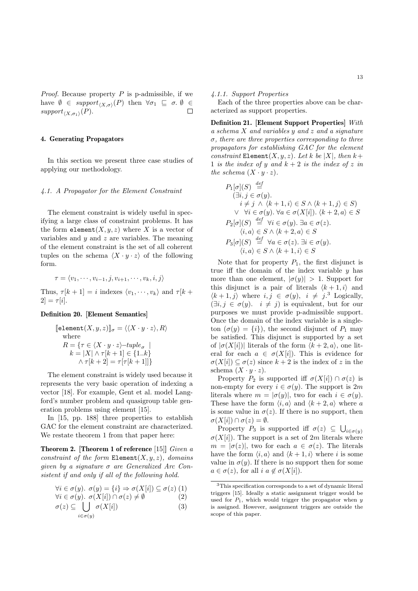*Proof.* Because property  $P$  is p-admissible, if we have  $\emptyset \in support_{\langle X, \sigma \rangle}(P)$  then  $\forall \sigma_1 \subseteq \sigma. \emptyset \in$  $support_{\langle X,\sigma_1\rangle}(P).$  $\Box$ 

## 4. Generating Propagators

In this section we present three case studies of applying our methodology.

## 4.1. A Propagator for the Element Constraint

The element constraint is widely useful in specifying a large class of constraint problems. It has the form element $(X, y, z)$  where X is a vector of variables and  $y$  and  $z$  are variables. The meaning of the element constraint is the set of all coherent tuples on the schema  $\langle X \cdot y \cdot z \rangle$  of the following form.

$$
\tau = \langle v_1, \cdots, v_{i-1}, j, v_{i+1}, \cdots, v_k, i, j \rangle
$$

Thus,  $\tau[k+1] = i$  indexes  $\langle v_1, \dots, v_k \rangle$  and  $\tau[k+1]$  $2] = \tau[i].$ 

## Definition 20. [Element Semantics]

$$
\begin{aligned} \llbracket \mathtt{element}(X, y, z) \rrbracket_{\sigma} &= \langle \langle X \cdot y \cdot z \rangle, R \rangle \\ \text{where} \\ R &= \{ \tau \in \langle X \cdot y \cdot z \rangle - tuple_{\sigma} \mid \\ k &= |X| \land \tau[k+1] \in \{1..k\} \\ \land \tau[k+2] &= \tau[\tau[k+1]] \} \end{aligned}
$$

The element constraint is widely used because it represents the very basic operation of indexing a vector [18]. For example, Gent et al. model Langford's number problem and quasigroup table generation problems using element [15].

In [15, pp. 188] three properties to establish GAC for the element constraint are characterized. We restate theorem 1 from that paper here:

Theorem 2. [Theorem 1 of reference [15]] Given a constraint of the form  $Element(X, y, z)$ , domains given by a signature  $\sigma$  are Generalized Arc Consistent if and only if all of the following hold.

$$
\forall i \in \sigma(y). \ \sigma(y) = \{i\} \Rightarrow \sigma(X[i]) \subseteq \sigma(z) \ (1)
$$

$$
\forall i \in \sigma(y). \ \sigma(X[i]) \cap \sigma(z) \neq \emptyset \tag{2}
$$

$$
\sigma(z) \subseteq \bigcup_{i \in \sigma(y)} \sigma(X[i]) \tag{3}
$$

#### 4.1.1. Support Properties

Each of the three properties above can be characterized as support properties.

Definition 21. [Element Support Properties] With a schema  $X$  and variables  $y$  and  $z$  and a signature  $\sigma$ , there are three properties corresponding to three propagators for establishing GAC for the element constraint  $\text{Element}(X, y, z)$ . Let k be |X|, then k+ 1 is the index of y and  $k + 2$  is the index of z in the schema  $(X \cdot y \cdot z)$ .

$$
P_1[\sigma](S) \stackrel{def}{=} \n(\exists i, j \in \sigma(y).\n i \neq j \land \langle k+1, i \rangle \in S \land \langle k+1, j \rangle \in S) \n\lor \forall i \in \sigma(y). \forall a \in \sigma(X[i]). \langle k+2, a \rangle \in S \nP_2[\sigma](S) \stackrel{def}{=} \forall i \in \sigma(y). \exists a \in \sigma(z). \n\langle i, a \rangle \in S \land \langle k+2, a \rangle \in S \nP_3[\sigma](S) \stackrel{def}{=} \forall a \in \sigma(z). \exists i \in \sigma(y). \n\langle i, a \rangle \in S \land \langle k+1, i \rangle \in S
$$

Note that for property  $P_1$ , the first disjunct is true iff the domain of the index variable  $y$  has more than one element,  $|\sigma(y)| > 1$ . Support for this disjunct is a pair of literals  $\langle k + 1, i \rangle$  and  $\langle k+1, j \rangle$  where  $i, j \in \sigma(y), i \neq j$ .<sup>3</sup> Logically,  $(\exists i, j \in \sigma(y), i \neq j)$  is equivalent, but for our purposes we must provide p-admissible support. Once the domain of the index variable is a singleton  $(\sigma(y) = \{i\})$ , the second disjunct of  $P_1$  may be satisfied. This disjunct is supported by a set of  $|\sigma(X[i])|$  literals of the form  $\langle k + 2, a \rangle$ , one literal for each  $a \in \sigma(X[i])$ . This is evidence for  $\sigma(X[i]) \subseteq \sigma(z)$  since  $k + 2$  is the index of z in the schema  $(X \cdot y \cdot z)$ .

Property  $P_2$  is supported iff  $\sigma(X[i]) \cap \sigma(z)$  is non-empty for every  $i \in \sigma(y)$ . The support is 2m literals where  $m = |\sigma(y)|$ , two for each  $i \in \sigma(y)$ . These have the form  $\langle i, a \rangle$  and  $\langle k + 2, a \rangle$  where a is some value in  $\sigma(z)$ . If there is no support, then  $\sigma(X[i]) \cap \sigma(z) = \emptyset.$ 

Property  $P_3$  is supported iff  $\sigma(z) \subseteq \bigcup_{i \in \sigma(y)}$  $\sigma(X[i])$ . The support is a set of 2m literals where  $m = |\sigma(z)|$ , two for each  $a \in \sigma(z)$ . The literals have the form  $\langle i, a \rangle$  and  $\langle k + 1, i \rangle$  where i is some value in  $\sigma(y)$ . If there is no support then for some  $a \in \sigma(z)$ , for all  $i \in \mathcal{A} \not\in \sigma(X[i])$ .

<sup>3</sup>This specification corresponds to a set of dynamic literal triggers [15]. Ideally a static assignment trigger would be used for  $P_1$ , which would trigger the propagator when y is assigned. However, assignment triggers are outside the scope of this paper.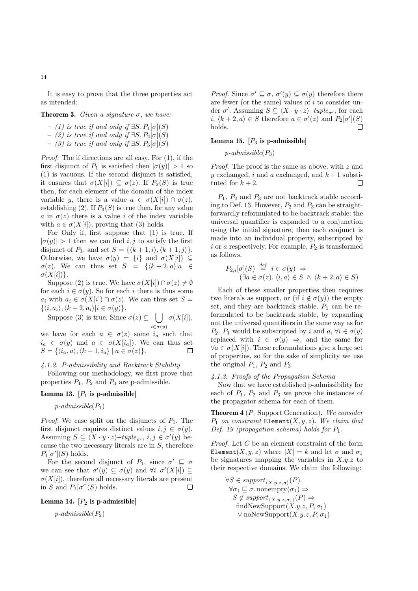It is easy to prove that the three properties act as intended:

**Theorem 3.** Given a signature  $\sigma$ , we have:

- (1) is true if and only if ∃S. P1[σ](S)
- $-$  (2) is true if and only if ∃S.  $P_2[σ](S)$
- (3) is true if and only if ∃S. P3[σ](S)

Proof. The if directions are all easy. For (1), if the first disjunct of  $P_1$  is satisfied then  $|\sigma(y)| > 1$  so (1) is vacuous. If the second disjunct is satisfied, it ensures that  $\sigma(X[i]) \subseteq \sigma(z)$ . If  $P_2(S)$  is true then, for each element of the domain of the index variable y, there is a value  $a \in \sigma(X[i]) \cap \sigma(z)$ , establishing (2). If  $P_3(S)$  is true then, for any value a in  $\sigma(z)$  there is a value i of the index variable with  $a \in \sigma(X[i])$ , proving that (3) holds.

For Only if, first suppose that (1) is true. If  $|\sigma(y)| > 1$  then we can find i, j to satisfy the first disjunct of  $P_1$ , and set  $S = \{ \langle k+1, i \rangle, \langle k+1, j \rangle \}.$ Otherwise, we have  $\sigma(y) = \{i\}$  and  $\sigma(X[i]) \subseteq$  $\sigma(z)$ . We can thus set  $S = \{ (k+2, a) | a \in$  $\sigma(X[i])\}.$ 

Suppose (2) is true. We have  $\sigma(X[i]) \cap \sigma(z) \neq \emptyset$ for each  $i \in \sigma(y)$ . So for each i there is thus some  $a_i$  with  $a_i \in \sigma(X[i]) \cap \sigma(z)$ . We can thus set  $S =$  $\{\langle i, a_i \rangle, \langle k + 2, a_i \rangle | i \in \sigma(y)\}.$ 

Suppose (3) is true. Since 
$$
\sigma(z) \subseteq \bigcup_{i \in \sigma(y)} \sigma(X[i]),
$$

we have for each  $a \in \sigma(z)$  some  $i_a$  such that  $i_a \in \sigma(y)$  and  $a \in \sigma(X[i_a])$ . We can thus set  $S = \{ \langle i_a, a \rangle, \langle k + 1, i_a \rangle \mid a \in \sigma(z) \}.$  $\Box$ 

## 4.1.2. P-admissibility and Backtrack Stability

Following our methodology, we first prove that properties  $P_1$ ,  $P_2$  and  $P_3$  are p-admissible.

## Lemma 13.  $[P_1]$  is p-admissible

 $p$ -admissible( $P_1$ )

*Proof.* We case split on the disjuncts of  $P_1$ . The first disjunct requires distinct values  $i, j \in \sigma(y)$ . Assuming  $S \subseteq \langle X \cdot y \cdot z \rangle$ -tuple<sub>σ'</sub>,  $i, j \in \sigma'(y)$  because the two necessary literals are in  $S$ , therefore  $P_1[\sigma'](S)$  holds.

For the second disjunct of  $P_1$ , since  $\sigma' \subseteq \sigma$ we can see that  $\sigma'(y) \subseteq \sigma(y)$  and  $\forall i$ .  $\sigma'(X[i]) \subseteq$  $\sigma(X[i])$ , therefore all necessary literals are present in S and  $P_1[\sigma'](S)$  holds.  $\Box$ 

Lemma 14.  $[P_2]$  is p-admissible

 $p$ -admissible( $P_2$ )

Proof. Since  $\sigma' \sqsubseteq \sigma$ ,  $\sigma'(y) \subseteq \sigma(y)$  therefore there are fewer (or the same) values of  $i$  to consider under  $\sigma'$ . Assuming  $S \subseteq \langle X \cdot y \cdot z \rangle$ -tuple<sub> $\sigma'$ </sub>, for each  $i, \langle k+2, a \rangle \in S$  therefore  $a \in \sigma'(z)$  and  $P_2[\sigma'](S)$  $\Box$ holds.

## Lemma 15.  $[P_3]$  is p-admissible

 $p$ -admissible( $P_3$ )

Proof. The proof is the same as above, with z and y exchanged, i and a exchanged, and  $k+1$  substituted for  $k + 2$ .  $\Box$ 

 $P_1, P_2$  and  $P_3$  are not backtrack stable according to Def. 13. However,  $P_2$  and  $P_3$  can be straightforwardly reformulated to be backtrack stable: the universal quantifier is expanded to a conjunction using the initial signature, then each conjunct is made into an individual property, subscripted by i or a respectively. For example,  $P_2$  is transformed as follows.

$$
P_{2,i}[\sigma](S) \stackrel{def}{=} i \in \sigma(y) \Rightarrow
$$
  
\n
$$
(\exists a \in \sigma(z). \langle i, a \rangle \in S \land \langle k+2, a \rangle \in S)
$$

Each of these smaller properties then requires two literals as support, or (if  $i \notin \sigma(y)$ ) the empty set, and they are backtrack stable.  $P_1$  can be reformulated to be backtrack stable, by expanding out the universal quantifiers in the same way as for P<sub>2</sub>. P<sub>1</sub> would be subscripted by i and  $a, \forall i \in \sigma(y)$ replaced with  $i \in \sigma(y) \Rightarrow$ , and the same for  $\forall a \in \sigma(X[i])$ . These reformulations give a large set of properties, so for the sake of simplicity we use the original  $P_1$ ,  $P_2$  and  $P_3$ .

#### 4.1.3. Proofs of the Propagation Schema

Now that we have established p-admissibility for each of  $P_1$ ,  $P_2$  and  $P_3$  we prove the instances of the propagator schema for each of them.

**Theorem 4** ( $P_1$  Support Generation). We consider  $P_1$  on constraint Element $(X, y, z)$ . We claim that Def. 19 (propagation schema) holds for  $P_1$ .

Proof. Let C be an element constraint of the form Element $(X, y, z)$  where  $|X| = k$  and let  $\sigma$  and  $\sigma_1$ be signatures mapping the variables in  $X,y,z$  to their respective domains. We claim the following:

$$
\forall S \in support_{(X,y,z,\sigma)}(P).
$$
  
\n
$$
\forall \sigma_1 \sqsubseteq \sigma. \text{ nonempty}(\sigma_1) \Rightarrow
$$
  
\n
$$
S \notin support_{(X,y,z,\sigma_1)}(P) \Rightarrow
$$
  
\nfindNewSupport
$$
(X,y.z, P, \sigma_1)
$$
  
\n
$$
\lor \text{noNewSupport}(X,y.z, P, \sigma_1)
$$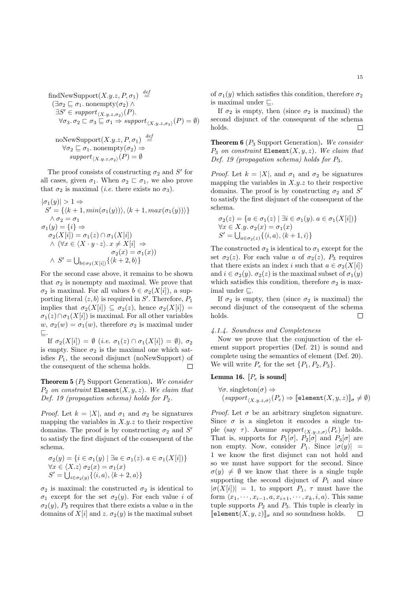findNewSupport
$$
(X.y.z, P, \sigma_1)
$$
  $\stackrel{def}{=} (\exists \sigma_2 \sqsubseteq \sigma_1 \text{. nonempty}(\sigma_2) \land \exists S' \in support_{\langle X.y.z, \sigma_2 \rangle}(P).$   
 $\forall \sigma_3. \sigma_2 \sqsubset \sigma_3 \sqsubseteq \sigma_1 \Rightarrow support_{\langle X.y.z, \sigma_3 \rangle}(P) = \emptyset)$ 

noNewSupport
$$
(X.y.z, P, \sigma_1)
$$
  $\stackrel{def}{=} \forall \sigma_2 \sqsubseteq \sigma_1$ . nonempty $(\sigma_2) \Rightarrow$   
  $support_{\langle X.y.z, \sigma_2 \rangle}(P) = \emptyset$ 

The proof consists of constructing  $\sigma_2$  and S' for all cases, given  $\sigma_1$ . When  $\sigma_2 \subset \sigma_1$ , we also prove that  $\sigma_2$  is maximal (*i.e.* there exists no  $\sigma_3$ ).

$$
|\sigma_1(y)| > 1 \Rightarrow
$$
  
\n
$$
S' = \{ \langle k+1, \min(\sigma_1(y)) \rangle, \langle k+1, \max(\sigma_1(y)) \rangle \}
$$
  
\n
$$
\wedge \sigma_2 = \sigma_1
$$
  
\n
$$
\sigma_1(y) = \{i\} \Rightarrow
$$
  
\n
$$
\sigma_2(X[i]) = \sigma_1(z) \cap \sigma_1(X[i])
$$
  
\n
$$
\wedge (\forall x \in \langle X \cdot y \cdot z \rangle. x \neq X[i] \Rightarrow
$$
  
\n
$$
\sigma_2(x) = \sigma_1(x)
$$
  
\n
$$
\wedge S' = \bigcup_{b \in \sigma_2(X[i])} \{ \langle k+2, b \rangle \}
$$

For the second case above, it remains to be shown that  $\sigma_2$  is nonempty and maximal. We prove that  $\sigma_2$  is maximal. For all values  $b \in \sigma_2(X[i])$ , a supporting literal  $\langle z, b \rangle$  is required in S'. Therefore,  $P_1$ implies that  $\sigma_2(X[i]) \subseteq \sigma_2(z)$ , hence  $\sigma_2(X[i]) =$  $\sigma_1(z) \cap \sigma_1(X[i])$  is maximal. For all other variables  $w, \sigma_2(w) = \sigma_1(w)$ , therefore  $\sigma_2$  is maximal under ⊑.

If  $\sigma_2(X[i]) = \emptyset$  (i.e.  $\sigma_1(z) \cap \sigma_1(X[i]) = \emptyset$ ),  $\sigma_2$ is empty. Since  $\sigma_2$  is the maximal one which satisfies  $P_1$ , the second disjunct (noNewSupport) of the consequent of the schema holds.  $\Box$ 

**Theorem 5** ( $P_2$  Support Generation). We consider  $P_2$  on constraint Element $(X, y, z)$ . We claim that Def. 19 (propagation schema) holds for  $P_2$ .

*Proof.* Let  $k = |X|$ , and  $\sigma_1$  and  $\sigma_2$  be signatures mapping the variables in  $X.y.z$  to their respective domains. The proof is by constructing  $\sigma_2$  and  $S'$ to satisfy the first disjunct of the consequent of the schema.

$$
\sigma_2(y) = \{i \in \sigma_1(y) \mid \exists a \in \sigma_1(z). a \in \sigma_1(X[i])\}
$$
  
\n
$$
\forall x \in \langle X.z \rangle \sigma_2(x) = \sigma_1(x)
$$
  
\n
$$
S' = \bigcup_{i \in \sigma_2(y)} \{ \langle i, a \rangle, \langle k + 2, a \rangle \}
$$

 $\sigma_2$  is maximal: the constructed  $\sigma_2$  is identical to  $\sigma_1$  except for the set  $\sigma_2(y)$ . For each value i of  $\sigma_2(y)$ ,  $P_2$  requires that there exists a value a in the domains of  $X[i]$  and z.  $\sigma_2(y)$  is the maximal subset

of  $\sigma_1(y)$  which satisfies this condition, therefore  $\sigma_2$ is maximal under ⊑.

If  $\sigma_2$  is empty, then (since  $\sigma_2$  is maximal) the second disjunct of the consequent of the schema holds.  $\Box$ 

**Theorem 6** ( $P_3$  Support Generation). We consider  $P_3$  on constraint Element $(X, y, z)$ . We claim that Def. 19 (propagation schema) holds for  $P_3$ .

*Proof.* Let  $k = |X|$ , and  $\sigma_1$  and  $\sigma_2$  be signatures mapping the variables in  $X.y.z$  to their respective domains. The proof is by constructing  $\sigma_2$  and  $S'$ to satisfy the first disjunct of the consequent of the schema.

$$
\sigma_2(z) = \{a \in \sigma_1(z) \mid \exists i \in \sigma_1(y). a \in \sigma_1(X[i])\}
$$
  
\n
$$
\forall x \in X. y. \sigma_2(x) = \sigma_1(x)
$$
  
\n
$$
S' = \bigcup_{a \in \sigma_2(z)} \{ \langle i, a \rangle, \langle k+1, i \rangle \}
$$

The constructed  $\sigma_2$  is identical to  $\sigma_1$  except for the set  $\sigma_2(z)$ . For each value a of  $\sigma_2(z)$ ,  $P_3$  requires that there exists an index i such that  $a \in \sigma_2(X[i])$ and  $i \in \sigma_2(y)$ .  $\sigma_2(z)$  is the maximal subset of  $\sigma_1(y)$ which satisfies this condition, therefore  $\sigma_2$  is maximal under ⊑.

If  $\sigma_2$  is empty, then (since  $\sigma_2$  is maximal) the second disjunct of the consequent of the schema holds.  $\Box$ 

## 4.1.4. Soundness and Completeness

Now we prove that the conjunction of the element support properties (Def. 21) is sound and complete using the semantics of element (Def. 20). We will write  $P_e$  for the set  $\{P_1, P_2, P_3\}.$ 

## Lemma 16.  $[P_e]$  is sound]

$$
\forall \sigma. \text{ singleton}(\sigma) \Rightarrow
$$

$$
(support_{\langle X, y, z, \sigma \rangle}(P_e) \Rightarrow \llbracket \text{element}(X, y, z) \rrbracket_{\sigma} \neq \emptyset)
$$

*Proof.* Let  $\sigma$  be an arbitrary singleton signature. Since  $\sigma$  is a singleton it encodes a single tuple (say  $\tau$ ). Assume  $support_{\langle X,y,z,\sigma\rangle}(P_e)$  holds. That is, supports for  $P_1[\sigma], P_2[\sigma]$  and  $P_3[\sigma]$  are non empty. Now, consider  $P_1$ . Since  $|\sigma(y)|$  = 1 we know the first disjunct can not hold and so we must have support for the second. Since  $\sigma(y) \neq \emptyset$  we know that there is a single tuple supporting the second disjunct of  $P_1$  and since  $|\sigma(X[i])| = 1$ , to support  $P_1$ ,  $\tau$  must have the form  $\langle x_1, \dots, x_{i-1}, a, x_{i+1}, \dots, x_k, i, a \rangle$ . This same tuple supports  $P_2$  and  $P_3$ . This tuple is clearly in [element $(X, y, z)$ ]<sub>σ</sub> and so soundness holds.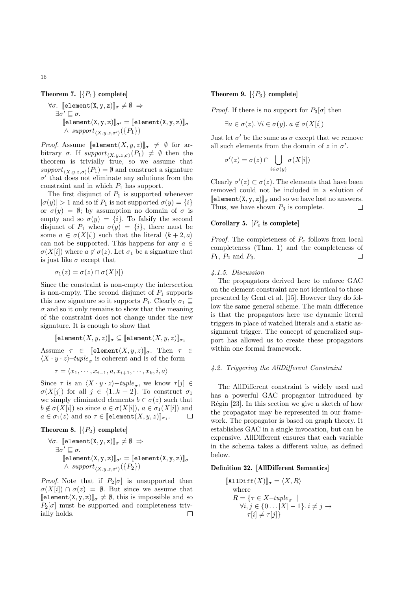Theorem 7.  $\{P_1\}$  complete

$$
\forall \sigma. \text{ [element(X, y, z)] }_{\sigma} \neq \emptyset \Rightarrow
$$
\n
$$
\exists \sigma' \sqsubseteq \sigma. \text{ [element(X, y, z)] }_{\sigma'} = \text{[element(X, y, z)] }_{\sigma}
$$
\n
$$
\land \text{ support}_{\langle X, y, z, \sigma' \rangle}(\{P_1\})
$$

*Proof.* Assume  $\left[\text{element}(X, y, z)\right]_{\sigma} \neq \emptyset$  for arbitrary  $\sigma$ . If  $support_{\langle X,y,z,\sigma\rangle}(P_1) \neq \emptyset$  then the theorem is trivially true, so we assume that support  $\langle X, y, z, \sigma \rangle$  (P<sub>1</sub>) = Ø and construct a signature  $\sigma'$  that does not eliminate any solutions from the constraint and in which  $P_1$  has support.

The first disjunct of  $P_1$  is supported whenever  $|\sigma(y)| > 1$  and so if  $P_1$  is not supported  $\sigma(y) = \{i\}$ or  $\sigma(y) = \emptyset$ ; by assumption no domain of  $\sigma$  is empty and so  $\sigma(y) = \{i\}$ . To falsify the second disjunct of  $P_1$  when  $\sigma(y) = \{i\}$ , there must be some  $a \in \sigma(X[i])$  such that the literal  $\langle k + 2, a \rangle$ can not be supported. This happens for any  $a \in$  $\sigma(X[i])$  where  $a \notin \sigma(z)$ . Let  $\sigma_1$  be a signature that is just like  $\sigma$  except that

$$
\sigma_1(z) = \sigma(z) \cap \sigma(X[i])
$$

Since the constraint is non-empty the intersection is non-empty. The second disjunct of  $P_1$  supports this new signature so it supports  $P_1$ . Clearly  $\sigma_1 \sqsubseteq$  $\sigma$  and so it only remains to show that the meaning of the constraint does not change under the new signature. It is enough to show that

$$
\llbracket \texttt{element}(X, y, z) \rrbracket_{\sigma} \subseteq \llbracket \texttt{element}(X, y, z) \rrbracket_{\sigma_1}
$$
\nAssume  $\tau \in \llbracket \texttt{element}(X, y, z) \rrbracket_{\sigma}$ . Then  $\tau \in \langle X \cdot y \cdot z \rangle \text{-}tuple_{\sigma}$  is coherent and is of the form

$$
\tau = \langle x_1, \cdots, x_{i-1}, a, x_{i+1}, \cdots, x_k, i, a \rangle
$$

Since  $\tau$  is an  $\langle X \cdot y \cdot z \rangle$  -  $tuple_{\sigma}$ , we know  $\tau[j] \in$  $\sigma(X[i])$  for all  $j \in \{1..k+2\}$ . To construct  $\sigma_1$ we simply eliminated elements  $b \in \sigma(z)$  such that  $b \notin \sigma(X[i])$  so since  $a \in \sigma(X[i]), a \in \sigma_1(X[i])$  and  $a\in \sigma_1(z)$  and so  $\tau\in [\![\texttt{element}(X,y,z)]\!]_{\sigma_1}.$  $\Box$ 

# Theorem 8.  $[\{P_2\}$  complete]

$$
\forall \sigma. \text{ [element(X, y, z)] }_{\sigma} \neq \emptyset \Rightarrow
$$
\n
$$
\exists \sigma' \sqsubseteq \sigma.
$$
\n[element(X, y, z)]<sub>\sigma'</sub> = [element(X, y, z)]<sub>\sigma</sub>  
\n
$$
\land \text{ support}_{(X, y, z, \sigma')}(\{P_2\})
$$

*Proof.* Note that if  $P_2[\sigma]$  is unsupported then  $\sigma(X[i]) \cap \sigma(z) = \emptyset$ . But since we assume that  $\llbracket$ element $(X, y, z)\rrbracket_{\sigma} \neq \emptyset$ , this is impossible and so  $P_2[\sigma]$  must be supported and completeness trivially holds.  $\Box$ 

#### Theorem 9.  $\{\{P_3\}$  complete

*Proof.* If there is no support for  $P_3[\sigma]$  then

$$
\exists a \in \sigma(z). \ \forall i \in \sigma(y). \ a \notin \sigma(X[i])
$$

Just let  $\sigma'$  be the same as  $\sigma$  except that we remove all such elements from the domain of  $z$  in  $\sigma'$ .

$$
\sigma'(z) = \sigma(z) \cap \bigcup_{i \in \sigma(y)} \sigma(X[i])
$$

Clearly  $\sigma'(z) \subset \sigma(z)$ . The elements that have been removed could not be included in a solution of  $\left[\text{element}(X, y, z)\right]_{\sigma}$  and so we have lost no answers. Thus, we have shown  $P_3$  is complete.  $\Box$ 

## Corollary 5.  $[P_e]$  is complete

*Proof.* The completeness of  $P_e$  follows from local completeness (Thm. 1) and the completeness of  $P_1$ ,  $P_2$  and  $P_3$ .  $\Box$ 

### 4.1.5. Discussion

The propagators derived here to enforce GAC on the element constraint are not identical to those presented by Gent et al. [15]. However they do follow the same general scheme. The main difference is that the propagators here use dynamic literal triggers in place of watched literals and a static assignment trigger. The concept of generalized support has allowed us to create these propagators within one formal framework.

#### 4.2. Triggering the AllDifferent Constraint

The AllDifferent constraint is widely used and has a powerful GAC propagator introduced by  $Régin [23]$ . In this section we give a sketch of how the propagator may be represented in our framework. The propagator is based on graph theory. It establishes GAC in a single invocation, but can be expensive. AllDifferent ensures that each variable in the schema takes a different value, as defined below.

#### Definition 22. [AllDifferent Semantics]

[AllDiff(X)]<sub>σ</sub> = 
$$
\langle X, R \rangle
$$
  
where  
 $R = \{ \tau \in X - tuple_{\sigma} \mid$   
 $\forall i, j \in \{0... |X|-1\}.\ i \neq j \rightarrow$   
 $\tau[i] \neq \tau[j] \}$ 

16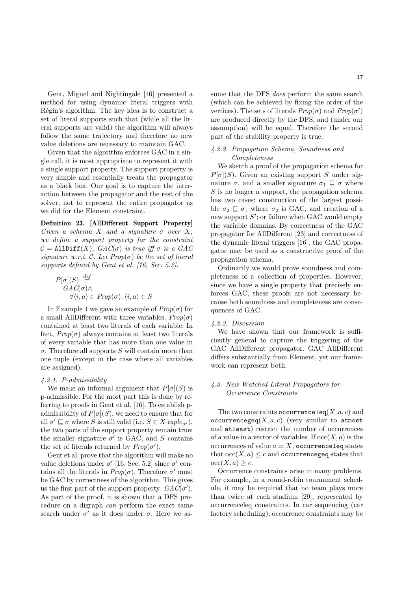Gent, Miguel and Nightingale [16] presented a method for using dynamic literal triggers with Régin's algorithm. The key idea is to construct a set of literal supports such that (while all the literal supports are valid) the algorithm will always follow the same trajectory and therefore no new value deletions are necessary to maintain GAC.

Given that the algorithm enforces GAC in a single call, it is most appropriate to represent it with a single support property. The support property is very simple and essentially treats the propagator as a black box. Our goal is to capture the interaction between the propagator and the rest of the solver, not to represent the entire propagator as we did for the Element constraint.

Definition 23. [AllDifferent Support Property] Given a schema X and a signature  $\sigma$  over X, we define a support property for the constraint  $\mathcal{C} = \text{AllDiff}(X)$ .  $GAC(\sigma)$  is true iff  $\sigma$  is a  $GAC$ signature w.r.t. C. Let  $Prop(\sigma)$  be the set of literal supports defined by Gent et al. [16, Sec. 5.2].

$$
P[\sigma](S) \stackrel{def}{=} GAC(\sigma) \wedge \forall \langle i, a \rangle \in Prop(\sigma). \langle i, a \rangle \in S
$$

In Example 4 we gave an example of  $Prop(\sigma)$  for a small AllDifferent with three variables.  $Prop(\sigma)$ contained at least two literals of each variable. In fact,  $Prop(\sigma)$  always contains at least two literals of every variable that has more than one value in  $\sigma$ . Therefore all supports S will contain more than one tuple (except in the case where all variables are assigned).

#### 4.2.1. P-admissibility

We make an informal argument that  $P[\sigma](S)$  is p-admissible. For the most part this is done by referring to proofs in Gent et al. [16]. To establish padmissibility of  $P[\sigma](S)$ , we need to ensure that for all  $\sigma' \sqsubseteq \sigma$  where S is still valid (i.e.  $S \in X \text{-}tuple_{\sigma'}$ ), the two parts of the support property remain true: the smaller signature  $\sigma'$  is GAC; and S contains the set of literals returned by  $Prop(\sigma')$ .

Gent et al. prove that the algorithm will make no value deletions under  $\sigma'$  [16, Sec. 5.2] since  $\sigma'$  contains all the literals in  $Prop(\sigma)$ . Therefore  $\sigma'$  must be GAC by correctness of the algorithm. This gives us the first part of the support property:  $GAC(\sigma')$ . As part of the proof, it is shown that a DFS procedure on a digraph can perform the exact same search under  $\sigma'$  as it does under  $\sigma$ . Here we assume that the DFS *does* perform the same search (which can be achieved by fixing the order of the vertices). The sets of literals  $Prop(\sigma)$  and  $Prop(\sigma')$ are produced directly by the DFS, and (under our assumption) will be equal. Therefore the second part of the stability property is true.

## 4.2.2. Propagation Schema, Soundness and Completeness

We sketch a proof of the propagation schema for  $P[\sigma](S)$ . Given an existing support S under signature  $\sigma$ , and a smaller signature  $\sigma_1 \subseteq \sigma$  where  $S$  is no longer a support, the propagation schema has two cases: construction of the largest possible  $\sigma_2 \sqsubseteq \sigma_1$  where  $\sigma_2$  is GAC, and creation of a new support  $S'$ ; or failure when GAC would empty the variable domains. By correctness of the GAC propagator for AllDifferent [23] and correctness of the dynamic literal triggers [16], the GAC propagator may be used as a constructive proof of the propagation schema.

Ordinarily we would prove soundness and completeness of a collection of properties. However, since we have a single property that precisely enforces GAC, these proofs are not necessary because both soundness and completeness are consequences of GAC.

## 4.2.3. Discussion

We have shown that our framework is sufficiently general to capture the triggering of the GAC AllDifferent propagator. GAC AllDifferent differs substantially from Element, yet our framework can represent both.

## 4.3. New Watched Literal Propagators for Occurrence Constraints

The two constraints occurrenceleq $(X, a, c)$  and occurrencegeq( $X, a, c$ ) (very similar to atmost and atleast) restrict the number of occurrences of a value in a vector of variables. If  $\operatorname{occ}(X, a)$  is the occurrences of value  $a$  in  $X$ , occurrenceleq states that  $\operatorname{occ}(X, a) \leq c$  and occurrencegeq states that  $occ(X, a) \geq c$ .

Occurrence constraints arise in many problems. For example, in a round-robin tournament schedule, it may be required that no team plays more than twice at each stadium [29], represented by occurrenceleq constraints. In car sequencing (car factory scheduling), occurrence constraints may be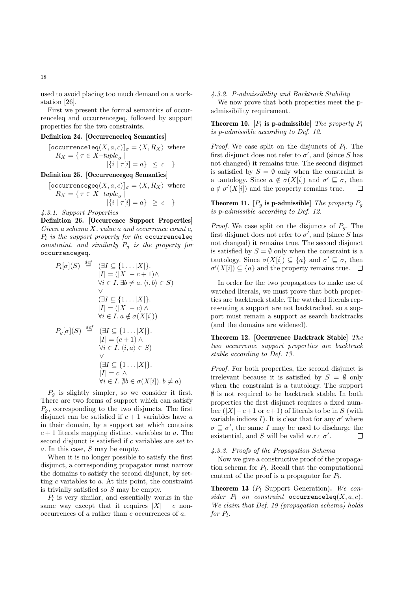used to avoid placing too much demand on a workstation [26].

First we present the formal semantics of occurrenceleq and occurrencegeq, followed by support properties for the two constraints.

## Definition 24. [Occurrenceleq Semantics]

$$
\begin{aligned} \text{[occurrence} & \text{leq}(X, a, c) \text{]}_{\sigma} = \langle X, R_X \rangle \text{ where} \\ R_X &= \{ \tau \in X - tuple_{\sigma} \mid \\ & |\{i \mid \tau[i] = a\}| \le c \end{aligned}
$$

Definition 25. [Occurrencegeq Semantics]

$$
\begin{aligned} \text{[occurrencegeq]}(X, a, c)]_{\sigma} &= \langle X, R_X \rangle \text{ where} \\ R_X &= \{ \tau \in X - tuple_{\sigma} \mid \\ & \quad | \{i \mid \tau[i] = a\} | \ge c \end{aligned}
$$

4.3.1. Support Properties

Definition 26. [Occurrence Support Properties] Given a schema  $X$ , value a and occurrence count  $c$ ,  $P_l$  is the support property for the occurrenceleq constraint, and similarly  $P<sub>g</sub>$  is the property for occurrencegeq.

$$
P_{l}[\sigma](S) \stackrel{def}{=} (\exists I \subseteq \{1 \dots |X|\}.\n\begin{aligned}\n|I| &= (|X| - c + 1) \land \\
\forall i \in I. \exists b \neq a. \langle i, b \rangle \in S)\n\end{aligned}\n\end{aligned}
$$
\n
$$
\begin{aligned}\n\langle \exists I \subseteq \{1 \dots |X|\}.\n\begin{aligned}\n|I| &= (|X| - c) \land \\
\forall i \in I. \ a \notin \sigma(X[i]))\n\end{aligned}\n\end{aligned}
$$
\n
$$
P_{g}[\sigma](S) \stackrel{def}{=} (\exists I \subseteq \{1 \dots |X|\}.\n\begin{aligned}\n|I| &= (c + 1) \land \\
\forall i \in I. \ \langle i, a \rangle \in S)\n\end{aligned}
$$
\n
$$
\begin{aligned}\n\langle \exists I \subseteq \{1 \dots |X|\}.\n\begin{aligned}\n|I| &= c \land \\
\forall i \in I. \ \exists b \in \sigma(X[i]). \ b \neq a\n\end{aligned}\n\end{aligned}
$$

 $P_q$  is slightly simpler, so we consider it first. There are two forms of support which can satisfy  $P<sub>q</sub>$ , corresponding to the two disjuncts. The first disjunct can be satisfied if  $c + 1$  variables have a in their domain, by a support set which contains  $c + 1$  literals mapping distinct variables to a. The second disjunct is satisfied if c variables are set to a. In this case, S may be empty.

When it is no longer possible to satisfy the first disjunct, a corresponding propagator must narrow the domains to satisfy the second disjunct, by setting  $c$  variables to  $a$ . At this point, the constraint is trivially satisfied so  $S$  may be empty.

 $P_l$  is very similar, and essentially works in the same way except that it requires  $|X| - c$  nonoccurrences of a rather than c occurrences of a.

#### 4.3.2. P-admissibility and Backtrack Stability

We now prove that both properties meet the padmissibility requirement.

**Theorem 10.**  $[P_l]$  is p-admissible The property  $P_l$ is p-admissible according to Def. 12.

*Proof.* We case split on the disjuncts of  $P_l$ . The first disjunct does not refer to  $\sigma'$ , and (since S has not changed) it remains true. The second disjunct is satisfied by  $S = \emptyset$  only when the constraint is a tautology. Since  $a \notin \sigma(X[i])$  and  $\sigma' \sqsubseteq \sigma$ , then  $a \notin \sigma'(X[i])$  and the property remains true.  $\Box$ 

**Theorem 11.**  $[P_q]$  is p-admissible The property  $P_q$ is p-admissible according to Def. 12.

*Proof.* We case split on the disjuncts of  $P<sub>q</sub>$ . The first disjunct does not refer to  $\sigma'$ , and (since S has not changed) it remains true. The second disjunct is satisfied by  $S = \emptyset$  only when the constraint is a tautology. Since  $\sigma(X[i]) \subseteq \{a\}$  and  $\sigma' \sqsubseteq \sigma$ , then  $\sigma'(X[i]) \subseteq \{a\}$  and the property remains true.

In order for the two propagators to make use of watched literals, we must prove that both properties are backtrack stable. The watched literals representing a support are not backtracked, so a support must remain a support as search backtracks (and the domains are widened).

Theorem 12. [Occurrence Backtrack Stable] The two occurrence support properties are backtrack stable according to Def. 13.

Proof. For both properties, the second disjunct is irrelevant because it is satisfied by  $S = \emptyset$  only when the constraint is a tautology. The support  $\emptyset$  is not required to be backtrack stable. In both properties the first disjunct requires a fixed number (|X|−c+1 or c+1) of literals to be in S (with variable indices  $I$ ). It is clear that for any  $\sigma'$  where  $\sigma \sqsubseteq \sigma'$ , the same I may be used to discharge the existential, and S will be valid w.r.t  $\sigma'$ .  $\Box$ 

## 4.3.3. Proofs of the Propagation Schema

Now we give a constructive proof of the propagation schema for  $P_l$ . Recall that the computational content of the proof is a propagator for  $P_l$ .

**Theorem 13**  $(P_l)$  Support Generation). We consider  $P_1$  on constraint occurrenceleq(X, a, c). We claim that Def. 19 (propagation schema) holds for  $P_l$ .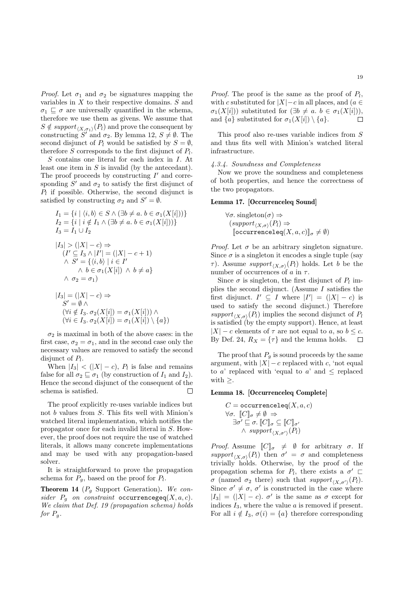*Proof.* Let  $\sigma_1$  and  $\sigma_2$  be signatures mapping the variables in  $X$  to their respective domains.  $S$  and  $\sigma_1 \sqsubseteq \sigma$  are universally quantified in the schema, therefore we use them as givens. We assume that  $S \notin support_{\langle X, \sigma_1 \rangle}(P_l)$  and prove the consequent by constructing  $S'$  and  $\sigma_2$ . By lemma 12,  $S \neq \emptyset$ . The second disjunct of  $P_l$  would be satisfied by  $S = \emptyset$ , therefore S corresponds to the first disjunct of  $P_l$ .

S contains one literal for each index in I. At least one item in  $S$  is invalid (by the antecedant). The proof proceeds by constructing  $I'$  and corresponding  $S'$  and  $\sigma_2$  to satisfy the first disjunct of  $P_l$  if possible. Otherwise, the second disjunct is satisfied by constructing  $\sigma_2$  and  $S' = \emptyset$ .

$$
I_1 = \{i \mid \langle i, b \rangle \in S \land (\exists b \neq a. b \in \sigma_1(X[i]))\}
$$
  
\n
$$
I_2 = \{i \mid i \notin I_1 \land (\exists b \neq a. b \in \sigma_1(X[i]))\}
$$
  
\n
$$
I_3 = I_1 \cup I_2
$$
  
\n
$$
|I_3| > (|X| - c) \Rightarrow
$$
  
\n
$$
(I' \subseteq I_3 \land |I'| = (|X| - c + 1)
$$
  
\n
$$
\land S' = \{\langle i, b \rangle | i \in I'
$$
  
\n
$$
\land b \in \sigma_1(X[i]) \land b \neq a\}
$$
  
\n
$$
\land \sigma_2 = \sigma_1)
$$
  
\n
$$
|I_3| = (|X| - c) \Rightarrow
$$
  
\n
$$
S' = \emptyset \land
$$
  
\n
$$
(\forall i \notin I_3, \sigma_2(X[i]) = \sigma_1(X[i]) \land \{\alpha\})
$$

 $\sigma_2$  is maximal in both of the above cases: in the first case,  $\sigma_2 = \sigma_1$ , and in the second case only the necessary values are removed to satisfy the second disjunct of  $P_l$ .

When  $|I_3|$  <  $(|X|-c)$ ,  $P_l$  is false and remains false for all  $\sigma_2 \sqsubseteq \sigma_1$  (by construction of  $I_1$  and  $I_2$ ). Hence the second disjunct of the consequent of the schema is satisfied.  $\Box$ 

The proof explicitly re-uses variable indices but not b values from S. This fits well with Minion's watched literal implementation, which notifies the propagator once for each invalid literal in S. However, the proof does not require the use of watched literals, it allows many concrete implementations and may be used with any propagation-based solver.

It is straightforward to prove the propagation schema for  $P_g$ , based on the proof for  $P_l$ .

**Theorem 14** ( $P_q$  Support Generation). We consider  $P_q$  on constraint occurrencegeq $(X, a, c)$ . We claim that Def. 19 (propagation schema) holds for  $P_a$ .

*Proof.* The proof is the same as the proof of  $P_l$ , with c substituted for  $|X|-c$  in all places, and  $(a \in$  $\sigma_1(X[i])$  substituted for  $(\exists b \neq a, b \in \sigma_1(X[i]),$ and  $\{a\}$  substituted for  $\sigma_1(X[i]) \setminus \{a\}.$  $\Box$ 

This proof also re-uses variable indices from S and thus fits well with Minion's watched literal infrastructure.

## 4.3.4. Soundness and Completeness

Now we prove the soundness and completeness of both properties, and hence the correctness of the two propagators.

## Lemma 17. [Occurrenceleq Sound]

 $\forall \sigma$ . singleton $(\sigma) \Rightarrow$  $(support_{\langle X,\sigma \rangle}(P_l) \Rightarrow$  $\llbracket$ occurrenceleq $(X, a, c) \rrbracket_{\sigma} \neq \emptyset$ 

*Proof.* Let  $\sigma$  be an arbitrary singleton signature. Since  $\sigma$  is a singleton it encodes a single tuple (say  $\tau$ ). Assume  $support_{\langle X,\sigma\rangle}(P_l)$  holds. Let b be the number of occurrences of  $a$  in  $\tau$ .

Since  $\sigma$  is singleton, the first disjunct of  $P_l$  implies the second disjunct. (Assume  $I$  satisfies the first disjunct.  $I' \subseteq I$  where  $|I'| = (|X| - c)$  is used to satisfy the second disjunct.) Therefore support<sub> $\langle X,\sigma \rangle$ </sub> $(P_l)$  implies the second disjunct of  $P_l$ is satisfied (by the empty support). Hence, at least  $|X| - c$  elements of  $\tau$  are not equal to a, so  $b \leq c$ . By Def. 24,  $R_X = \{\tau\}$  and the lemma holds.  $\Box$ 

The proof that  $P_g$  is sound proceeds by the same argument, with  $|X| - c$  replaced with c, 'not equal to a' replaced with 'equal to a' and  $\leq$  replaced with ≥.

#### Lemma 18. [Occurrenceleq Complete]

$$
C = \text{occurrenceleg}(X, a, c)
$$
  
\n
$$
\forall \sigma. \quad [C]_{\sigma} \neq \emptyset \Rightarrow
$$
  
\n
$$
\exists \sigma' \sqsubseteq \sigma. \quad [C]_{\sigma} \subseteq [C]_{\sigma'}
$$
  
\n
$$
\land \quad support_{\langle X, \sigma' \rangle}(P_l)
$$

*Proof.* Assume  $[[C]]_{\sigma} \neq \emptyset$  for arbitrary  $\sigma$ . If  $support_{\langle X,\sigma\rangle}(P_l)$  then  $\sigma' = \sigma$  and completeness trivially holds. Otherwise, by the proof of the propagation schema for  $P_l$ , there exists a  $\sigma' \subset$  $\sigma$  (named  $\sigma_2$  there) such that support<sub> $\langle X,\sigma' \rangle$ </sub> $(P_l)$ . Since  $\sigma' \neq \sigma$ ,  $\sigma'$  is constructed in the case where  $|I_3| = (|X| - c)$ .  $\sigma'$  is the same as  $\sigma$  except for indices  $I_3$ , where the value a is removed if present. For all  $i \notin I_3$ ,  $\sigma(i) = \{a\}$  therefore corresponding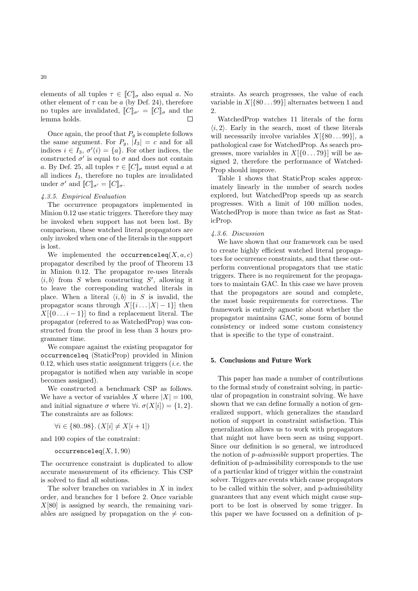elements of all tuples  $\tau \in \llbracket C \rrbracket_{\sigma}$  also equal a. No other element of  $\tau$  can be a (by Def. 24), therefore no tuples are invalidated,  $[[C]]_{\sigma'} = [[C]]_{\sigma}$  and the lemma holds. П

Once again, the proof that  $P_q$  is complete follows the same argument. For  $P_g$ ,  $|I_3| = c$  and for all indices  $i \in I_3$ ,  $\sigma'(i) = \{a\}$ . For other indices, the constructed  $\sigma'$  is equal to  $\sigma$  and does not contain a. By Def. 25, all tuples  $\tau \in \llbracket C \rrbracket_{\sigma}$  must equal a at all indices  $I_3$ , therefore no tuples are invalidated under  $\sigma'$  and  $[\![C]\!]_{\sigma'} = [\![C]\!]_{\sigma}$ .

## 4.3.5. Empirical Evaluation

The occurrence propagators implemented in Minion 0.12 use static triggers. Therefore they may be invoked when support has not been lost. By comparison, these watched literal propagators are only invoked when one of the literals in the support is lost.

We implemented the occurrenceleq $(X, a, c)$ propagator described by the proof of Theorem 13 in Minion 0.12. The propagator re-uses literals  $\langle i, b \rangle$  from S when constructing S', allowing it to leave the corresponding watched literals in place. When a literal  $\langle i, b \rangle$  in S is invalid, the propagator scans through  $X[\{i \dots |X|-1\}]$  then  $X[\{0 \ldots i-1\}]$  to find a replacement literal. The propagator (referred to as WatchedProp) was constructed from the proof in less than 3 hours programmer time.

We compare against the existing propagator for occurrenceleq (StaticProp) provided in Minion 0.12, which uses static assignment triggers  $(i.e.$  the propagator is notified when any variable in scope becomes assigned).

We constructed a benchmark CSP as follows. We have a vector of variables X where  $|X| = 100$ , and initial signature  $\sigma$  where  $\forall i$ .  $\sigma(X[i]) = \{1, 2\}.$ The constraints are as follows:

 $∀i \in \{80..98\}$ .  $(X[i] \neq X[i + 1])$ 

and 100 copies of the constraint:

occurrenceleq $(X, 1, 90)$ 

The occurrence constraint is duplicated to allow accurate measurement of its efficiency. This CSP is solved to find all solutions.

The solver branches on variables in  $X$  in index order, and branches for 1 before 2. Once variable  $X[80]$  is assigned by search, the remaining variables are assigned by propagation on the  $\neq$  constraints. As search progresses, the value of each variable in  $X[\{80...99\}]$  alternates between 1 and  $\mathcal{D}$ 

WatchedProp watches 11 literals of the form  $\langle i, 2 \rangle$ . Early in the search, most of these literals will necessarily involve variables  $X[\{80...99\}]$ , a pathological case for WatchedProp. As search progresses, more variables in  $X[\{0 \dots 79\}]$  will be assigned 2, therefore the performance of Watched-Prop should improve.

Table 1 shows that StaticProp scales approximately linearly in the number of search nodes explored, but WatchedProp speeds up as search progresses. With a limit of 100 million nodes, WatchedProp is more than twice as fast as StaticProp.

#### 4.3.6. Discussion

We have shown that our framework can be used to create highly efficient watched literal propagators for occurrence constraints, and that these outperform conventional propagators that use static triggers. There is no requirement for the propagators to maintain GAC. In this case we have proven that the propagators are sound and complete, the most basic requirements for correctness. The framework is entirely agnostic about whether the propagator maintains GAC, some form of bound consistency or indeed some custom consistency that is specific to the type of constraint.

#### 5. Conclusions and Future Work

This paper has made a number of contributions to the formal study of constraint solving, in particular of propagation in constraint solving. We have shown that we can define formally a notion of generalized support, which generalizes the standard notion of support in constraint satisfaction. This generalization allows us to work with propagators that might not have been seen as using support. Since our definition is so general, we introduced the notion of p-admissible support properties. The definition of p-admissibility corresponds to the use of a particular kind of trigger within the constraint solver. Triggers are events which cause propagators to be called within the solver, and p-admissibility guarantees that any event which might cause support to be lost is observed by some trigger. In this paper we have focussed on a definition of p-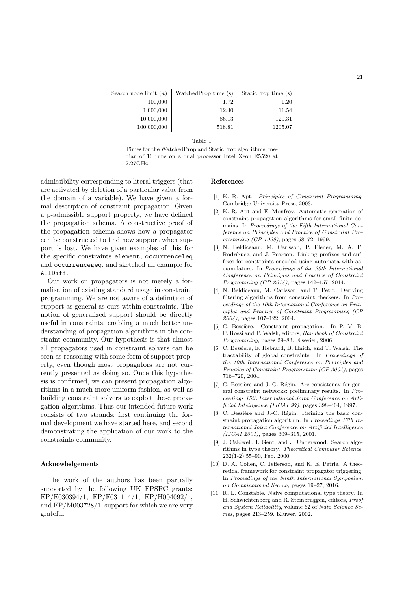| Search node limit $(n)$ | WatchedProp time (s) | StaticProp time (s) |
|-------------------------|----------------------|---------------------|
| 100,000                 | 1.72                 | 1.20                |
| 1,000,000               | 12.40                | 11.54               |
| 10,000,000              | 86.13                | 120.31              |
| 100,000,000             | 518.81               | 1205.07             |

#### Table 1

Times for the WatchedProp and StaticProp algorithms, median of 16 runs on a dual processor Intel Xeon E5520 at 2.27GHz.

admissibility corresponding to literal triggers (that are activated by deletion of a particular value from the domain of a variable). We have given a formal description of constraint propagation. Given a p-admissible support property, we have defined the propagation schema. A constructive proof of the propagation schema shows how a propagator can be constructed to find new support when support is lost. We have given examples of this for the specific constraints element, occurrenceleq and occurrencegeq, and sketched an example for AllDiff.

Our work on propagators is not merely a formalisation of existing standard usage in constraint programming. We are not aware of a definition of support as general as ours within constraints. The notion of generalized support should be directly useful in constraints, enabling a much better understanding of propagation algorithms in the constraint community. Our hypothesis is that almost all propagators used in constraint solvers can be seen as reasoning with some form of support property, even though most propagators are not currently presented as doing so. Once this hypothesis is confirmed, we can present propagation algorithms in a much more uniform fashion, as well as building constraint solvers to exploit these propagation algorithms. Thus our intended future work consists of two strands: first continuing the formal development we have started here, and second demonstrating the application of our work to the constraints community.

## Acknowledgements

The work of the authors has been partially supported by the following UK EPSRC grants: EP/E030394/1, EP/F031114/1, EP/H004092/1, and EP/M003728/1, support for which we are very grateful.

## References

- [1] K. R. Apt. Principles of Constraint Programming. Cambridge University Press, 2003.
- [2] K. R. Apt and E. Monfroy. Automatic generation of constraint propagation algorithms for small finite domains. In Proceedings of the Fifth International Conference on Principles and Practice of Constraint Programming (CP 1999), pages 58–72, 1999.
- [3] N. Beldiceanu, M. Carlsson, P. Flener, M. A. F. Rodríguez, and J. Pearson. Linking prefixes and suffixes for constraints encoded using automata with accumulators. In Proceedings of the 20th International Conference on Principles and Practice of Constraint Programming (CP 2014), pages 142–157, 2014.
- [4] N. Beldiceanu, M. Carlsson, and T. Petit. Deriving filtering algorithms from constraint checkers. In Proceedings of the 10th International Conference on Principles and Practice of Constraint Programming (CP 2004), pages 107–122, 2004.
- [5] C. Bessière. Constraint propagation. In P. V. B. F. Rossi and T. Walsh, editors, Handbook of Constraint Programming, pages 29–83. Elsevier, 2006.
- [6] C. Bessiere, E. Hebrard, B. Hnich, and T. Walsh. The tractability of global constraints. In Proceedings of the 10th International Conference on Principles and Practice of Constraint Programming (CP 2004), pages 716–720, 2004.
- [7] C. Bessière and J.-C. Régin. Arc consistency for general constraint networks: preliminary results. In Proceedings 15th International Joint Conference on Artificial Intelligence (IJCAI 97), pages 398–404, 1997.
- [8] C. Bessière and J.-C. Régin. Refining the basic constraint propagation algorithm. In Proceedings 17th International Joint Conference on Artificial Intelligence (IJCAI 2001), pages 309–315, 2001.
- [9] J. Caldwell, I. Gent, and J. Underwood. Search algorithms in type theory. Theoretical Computer Science, 232(1-2):55–90, Feb. 2000.
- [10] D. A. Cohen, C. Jefferson, and K. E. Petrie. A theoretical framework for constraint propagator triggering. In Proceedings of the Ninth International Symposium on Combinatorial Search, pages 19–27, 2016.
- [11] R. L. Constable. Naive computational type theory. In H. Schwichtenberg and R. Steinbruggen, editors, Proof and System Reliability, volume 62 of Nato Science Series, pages 213–259. Kluwer, 2002.